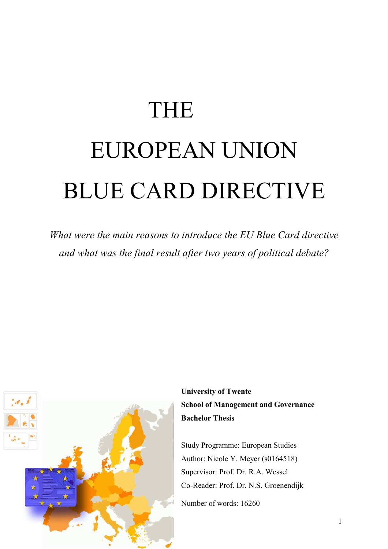# THE EUROPEAN UNION BLUE CARD DIRECTIVE

*What were the main reasons to introduce the EU Blue Card directive and what was the final result after two years of political debate?*



**University of Twente School of Management and Governance Bachelor Thesis** 

Study Programme: European Studies Author: Nicole Y. Meyer (s0164518) Supervisor: Prof. Dr. R.A. Wessel Co-Reader: Prof. Dr. N.S. Groenendijk

Number of words: 16260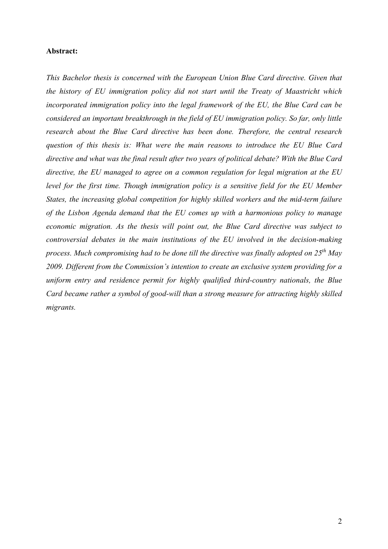#### **Abstract:**

*This Bachelor thesis is concerned with the European Union Blue Card directive. Given that the history of EU immigration policy did not start until the Treaty of Maastricht which incorporated immigration policy into the legal framework of the EU, the Blue Card can be considered an important breakthrough in the field of EU immigration policy. So far, only little research about the Blue Card directive has been done. Therefore, the central research question of this thesis is: What were the main reasons to introduce the EU Blue Card directive and what was the final result after two years of political debate? With the Blue Card directive, the EU managed to agree on a common regulation for legal migration at the EU*  level for the first time. Though immigration policy is a sensitive field for the EU Member *States, the increasing global competition for highly skilled workers and the mid-term failure of the Lisbon Agenda demand that the EU comes up with a harmonious policy to manage economic migration. As the thesis will point out, the Blue Card directive was subject to controversial debates in the main institutions of the EU involved in the decision-making process. Much compromising had to be done till the directive was finally adopted on 25th May 2009. Different from the Commission's intention to create an exclusive system providing for a uniform entry and residence permit for highly qualified third-country nationals, the Blue Card became rather a symbol of good-will than a strong measure for attracting highly skilled migrants.*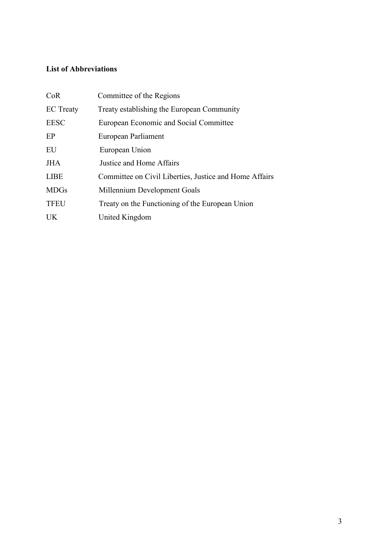# **List of Abbreviations**

| CoR              | Committee of the Regions                               |
|------------------|--------------------------------------------------------|
| <b>EC</b> Treaty | Treaty establishing the European Community             |
| <b>EESC</b>      | European Economic and Social Committee                 |
| EP               | European Parliament                                    |
| EU               | European Union                                         |
| <b>JHA</b>       | Justice and Home Affairs                               |
| <b>LIBE</b>      | Committee on Civil Liberties, Justice and Home Affairs |
| <b>MDGs</b>      | Millennium Development Goals                           |
| <b>TFEU</b>      | Treaty on the Functioning of the European Union        |
| UK               | United Kingdom                                         |
|                  |                                                        |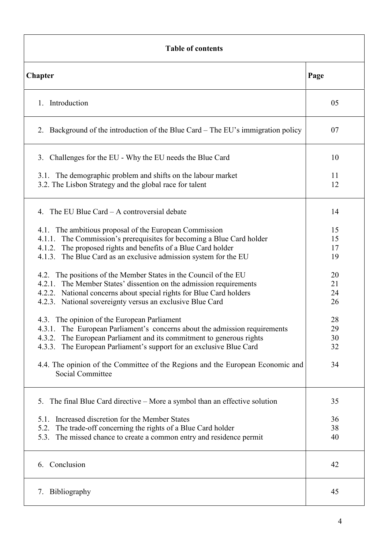| <b>Table of contents</b>                                                                                                                                                                                                                                                       |                      |  |
|--------------------------------------------------------------------------------------------------------------------------------------------------------------------------------------------------------------------------------------------------------------------------------|----------------------|--|
| Chapter                                                                                                                                                                                                                                                                        | Page                 |  |
| Introduction<br>$\mathbf{1}$                                                                                                                                                                                                                                                   | 05                   |  |
| Background of the introduction of the Blue Card – The EU's immigration policy<br>2.                                                                                                                                                                                            | 07                   |  |
| Challenges for the EU - Why the EU needs the Blue Card<br>3.                                                                                                                                                                                                                   | 10                   |  |
| 3.1. The demographic problem and shifts on the labour market<br>3.2. The Lisbon Strategy and the global race for talent                                                                                                                                                        | 11<br>12             |  |
| The EU Blue Card – A controversial debate<br>4.                                                                                                                                                                                                                                | 14                   |  |
| 4.1. The ambitious proposal of the European Commission<br>4.1.1. The Commission's prerequisites for becoming a Blue Card holder<br>4.1.2. The proposed rights and benefits of a Blue Card holder<br>4.1.3. The Blue Card as an exclusive admission system for the EU           | 15<br>15<br>17<br>19 |  |
| 4.2. The positions of the Member States in the Council of the EU<br>4.2.1. The Member States' dissention on the admission requirements<br>4.2.2. National concerns about special rights for Blue Card holders<br>4.2.3. National sovereignty versus an exclusive Blue Card     | 20<br>21<br>24<br>26 |  |
| 4.3. The opinion of the European Parliament<br>The European Parliament's concerns about the admission requirements<br>4.3.1.<br>The European Parliament and its commitment to generous rights<br>4.3.2.<br>4.3.3. The European Parliament's support for an exclusive Blue Card | 28<br>29<br>30<br>32 |  |
| 4.4. The opinion of the Committee of the Regions and the European Economic and<br>Social Committee                                                                                                                                                                             | 34                   |  |
| The final Blue Card directive – More a symbol than an effective solution<br>5.                                                                                                                                                                                                 | 35                   |  |
| Increased discretion for the Member States<br>5.1.<br>The trade-off concerning the rights of a Blue Card holder<br>5.2.<br>The missed chance to create a common entry and residence permit<br>5.3.                                                                             | 36<br>38<br>40       |  |
| Conclusion<br>6.                                                                                                                                                                                                                                                               | 42                   |  |
| <b>Bibliography</b><br>7.                                                                                                                                                                                                                                                      | 45                   |  |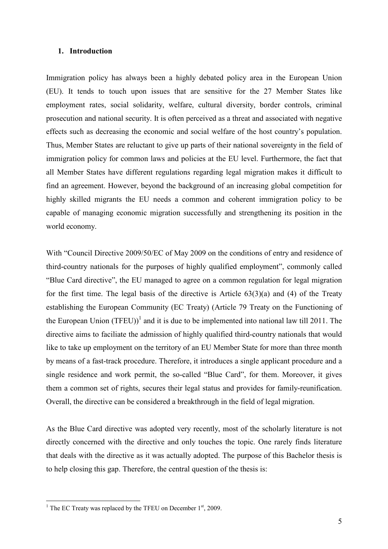#### **1. Introduction**

Immigration policy has always been a highly debated policy area in the European Union (EU). It tends to touch upon issues that are sensitive for the 27 Member States like employment rates, social solidarity, welfare, cultural diversity, border controls, criminal prosecution and national security. It is often perceived as a threat and associated with negative effects such as decreasing the economic and social welfare of the host country's population. Thus, Member States are reluctant to give up parts of their national sovereignty in the field of immigration policy for common laws and policies at the EU level. Furthermore, the fact that all Member States have different regulations regarding legal migration makes it difficult to find an agreement. However, beyond the background of an increasing global competition for highly skilled migrants the EU needs a common and coherent immigration policy to be capable of managing economic migration successfully and strengthening its position in the world economy.

With "Council Directive 2009/50/EC of May 2009 on the conditions of entry and residence of third-country nationals for the purposes of highly qualified employment", commonly called "Blue Card directive", the EU managed to agree on a common regulation for legal migration for the first time. The legal basis of the directive is Article  $63(3)(a)$  and (4) of the Treaty establishing the European Community (EC Treaty) (Article 79 Treaty on the Functioning of the European Union  $(TFEU)^{1}$  and it is due to be implemented into national law till 2011. The directive aims to faciliate the admission of highly qualified third-country nationals that would like to take up employment on the territory of an EU Member State for more than three month by means of a fast-track procedure. Therefore, it introduces a single applicant procedure and a single residence and work permit, the so-called "Blue Card", for them. Moreover, it gives them a common set of rights, secures their legal status and provides for family-reunification. Overall, the directive can be considered a breakthrough in the field of legal migration.

As the Blue Card directive was adopted very recently, most of the scholarly literature is not directly concerned with the directive and only touches the topic. One rarely finds literature that deals with the directive as it was actually adopted. The purpose of this Bachelor thesis is to help closing this gap. Therefore, the central question of the thesis is:

<sup>&</sup>lt;sup>1</sup> The EC Treaty was replaced by the TFEU on December 1<sup>st</sup>, 2009.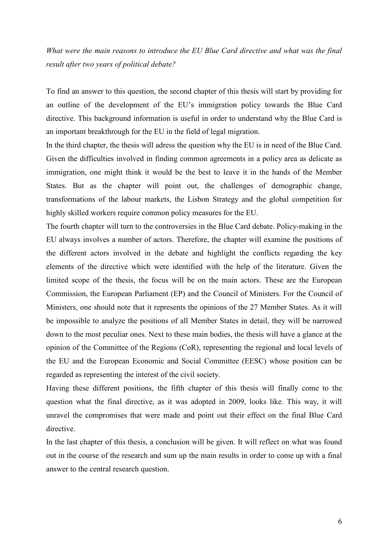*What were the main reasons to introduce the EU Blue Card directive and what was the final result after two years of political debate?* 

To find an answer to this question, the second chapter of this thesis will start by providing for an outline of the development of the EU's immigration policy towards the Blue Card directive. This background information is useful in order to understand why the Blue Card is an important breakthrough for the EU in the field of legal migration.

In the third chapter, the thesis will adress the question why the EU is in need of the Blue Card. Given the difficulties involved in finding common agreements in a policy area as delicate as immigration, one might think it would be the best to leave it in the hands of the Member States. But as the chapter will point out, the challenges of demographic change, transformations of the labour markets, the Lisbon Strategy and the global competition for highly skilled workers require common policy measures for the EU.

The fourth chapter will turn to the controversies in the Blue Card debate. Policy-making in the EU always involves a number of actors. Therefore, the chapter will examine the positions of the different actors involved in the debate and highlight the conflicts regarding the key elements of the directive which were identified with the help of the literature. Given the limited scope of the thesis, the focus will be on the main actors. These are the European Commission, the European Parliament (EP) and the Council of Ministers. For the Council of Ministers, one should note that it represents the opinions of the 27 Member States. As it will be impossible to analyze the positions of all Member States in detail, they will be narrowed down to the most peculiar ones. Next to these main bodies, the thesis will have a glance at the opinion of the Committee of the Regions (CoR), representing the regional and local levels of the EU and the European Economic and Social Committee (EESC) whose position can be regarded as representing the interest of the civil society.

Having these different positions, the fifth chapter of this thesis will finally come to the question what the final directive, as it was adopted in 2009, looks like. This way, it will unravel the compromises that were made and point out their effect on the final Blue Card directive.

In the last chapter of this thesis, a conclusion will be given. It will reflect on what was found out in the course of the research and sum up the main results in order to come up with a final answer to the central research question.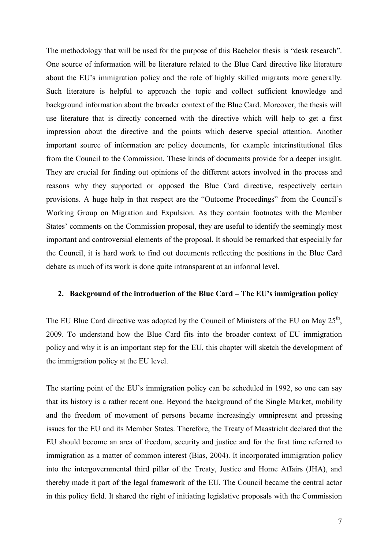The methodology that will be used for the purpose of this Bachelor thesis is "desk research". One source of information will be literature related to the Blue Card directive like literature about the EU's immigration policy and the role of highly skilled migrants more generally. Such literature is helpful to approach the topic and collect sufficient knowledge and background information about the broader context of the Blue Card. Moreover, the thesis will use literature that is directly concerned with the directive which will help to get a first impression about the directive and the points which deserve special attention. Another important source of information are policy documents, for example interinstitutional files from the Council to the Commission. These kinds of documents provide for a deeper insight. They are crucial for finding out opinions of the different actors involved in the process and reasons why they supported or opposed the Blue Card directive, respectively certain provisions. A huge help in that respect are the "Outcome Proceedings" from the Council's Working Group on Migration and Expulsion. As they contain footnotes with the Member States' comments on the Commission proposal, they are useful to identify the seemingly most important and controversial elements of the proposal. It should be remarked that especially for the Council, it is hard work to find out documents reflecting the positions in the Blue Card debate as much of its work is done quite intransparent at an informal level.

#### **2. Background of the introduction of the Blue Card – The EU's immigration policy**

The EU Blue Card directive was adopted by the Council of Ministers of the EU on May  $25<sup>th</sup>$ , 2009. To understand how the Blue Card fits into the broader context of EU immigration policy and why it is an important step for the EU, this chapter will sketch the development of the immigration policy at the EU level.

The starting point of the EU's immigration policy can be scheduled in 1992, so one can say that its history is a rather recent one. Beyond the background of the Single Market, mobility and the freedom of movement of persons became increasingly omnipresent and pressing issues for the EU and its Member States. Therefore, the Treaty of Maastricht declared that the EU should become an area of freedom, security and justice and for the first time referred to immigration as a matter of common interest (Bias, 2004). It incorporated immigration policy into the intergovernmental third pillar of the Treaty, Justice and Home Affairs (JHA), and thereby made it part of the legal framework of the EU. The Council became the central actor in this policy field. It shared the right of initiating legislative proposals with the Commission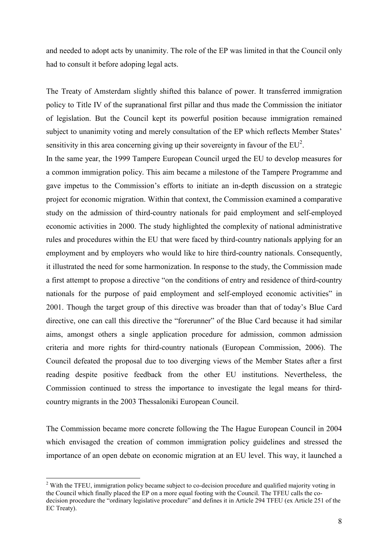and needed to adopt acts by unanimity. The role of the EP was limited in that the Council only had to consult it before adoping legal acts.

The Treaty of Amsterdam slightly shifted this balance of power. It transferred immigration policy to Title IV of the supranational first pillar and thus made the Commission the initiator of legislation. But the Council kept its powerful position because immigration remained subject to unanimity voting and merely consultation of the EP which reflects Member States' sensitivity in this area concerning giving up their sovereignty in favour of the  $EU^2$ .

In the same year, the 1999 Tampere European Council urged the EU to develop measures for a common immigration policy. This aim became a milestone of the Tampere Programme and gave impetus to the Commission's efforts to initiate an in-depth discussion on a strategic project for economic migration. Within that context, the Commission examined a comparative study on the admission of third-country nationals for paid employment and self-employed economic activities in 2000. The study highlighted the complexity of national administrative rules and procedures within the EU that were faced by third-country nationals applying for an employment and by employers who would like to hire third-country nationals. Consequently, it illustrated the need for some harmonization. In response to the study, the Commission made a first attempt to propose a directive "on the conditions of entry and residence of third-country nationals for the purpose of paid employment and self-employed economic activities" in 2001. Though the target group of this directive was broader than that of today's Blue Card directive, one can call this directive the "forerunner" of the Blue Card because it had similar aims, amongst others a single application procedure for admission, common admission criteria and more rights for third-country nationals (European Commission, 2006). The Council defeated the proposal due to too diverging views of the Member States after a first reading despite positive feedback from the other EU institutions. Nevertheless, the Commission continued to stress the importance to investigate the legal means for thirdcountry migrants in the 2003 Thessaloniki European Council.

The Commission became more concrete following the The Hague European Council in 2004 which envisaged the creation of common immigration policy guidelines and stressed the importance of an open debate on economic migration at an EU level. This way, it launched a

<sup>&</sup>lt;sup>2</sup> With the TFEU, immigration policy became subject to co-decision procedure and qualified majority voting in the Council which finally placed the EP on a more equal footing with the Council. The TFEU calls the codecision procedure the "ordinary legislative procedure" and defines it in Article 294 TFEU (ex Article 251 of the EC Treaty).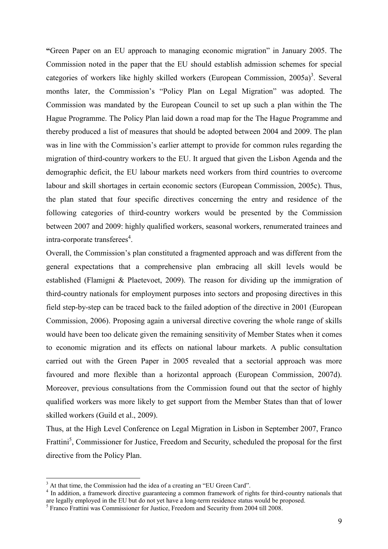**"**Green Paper on an EU approach to managing economic migration" in January 2005. The Commission noted in the paper that the EU should establish admission schemes for special categories of workers like highly skilled workers (European Commission,  $2005a$ )<sup>3</sup>. Several months later, the Commission's "Policy Plan on Legal Migration" was adopted. The Commission was mandated by the European Council to set up such a plan within the The Hague Programme. The Policy Plan laid down a road map for the The Hague Programme and thereby produced a list of measures that should be adopted between 2004 and 2009. The plan was in line with the Commission's earlier attempt to provide for common rules regarding the migration of third-country workers to the EU. It argued that given the Lisbon Agenda and the demographic deficit, the EU labour markets need workers from third countries to overcome labour and skill shortages in certain economic sectors (European Commission, 2005c). Thus, the plan stated that four specific directives concerning the entry and residence of the following categories of third-country workers would be presented by the Commission between 2007 and 2009: highly qualified workers, seasonal workers, renumerated trainees and intra-corporate transferees<sup>4</sup>.

Overall, the Commission's plan constituted a fragmented approach and was different from the general expectations that a comprehensive plan embracing all skill levels would be established (Flamigni & Plaetevoet, 2009). The reason for dividing up the immigration of third-country nationals for employment purposes into sectors and proposing directives in this field step-by-step can be traced back to the failed adoption of the directive in 2001 (European Commission, 2006). Proposing again a universal directive covering the whole range of skills would have been too delicate given the remaining sensitivity of Member States when it comes to economic migration and its effects on national labour markets. A public consultation carried out with the Green Paper in 2005 revealed that a sectorial approach was more favoured and more flexible than a horizontal approach (European Commission, 2007d). Moreover, previous consultations from the Commission found out that the sector of highly qualified workers was more likely to get support from the Member States than that of lower skilled workers (Guild et al., 2009).

Thus, at the High Level Conference on Legal Migration in Lisbon in September 2007, Franco Frattini<sup>5</sup>, Commissioner for Justice, Freedom and Security, scheduled the proposal for the first directive from the Policy Plan.

<sup>&</sup>lt;sup>3</sup> At that time, the Commission had the idea of a creating an "EU Green Card".

<sup>&</sup>lt;sup>4</sup> In addition, a framework directive guaranteeing a common framework of rights for third-country nationals that are legally employed in the EU but do not yet have a long-term residence status would be proposed.

<sup>&</sup>lt;sup>5</sup> Franco Frattini was Commissioner for Justice, Freedom and Security from 2004 till 2008.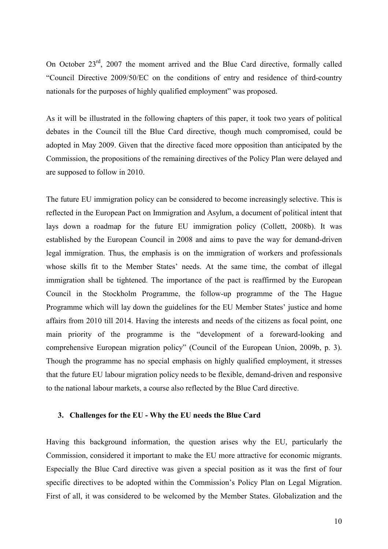On October 23rd, 2007 the moment arrived and the Blue Card directive, formally called "Council Directive 2009/50/EC on the conditions of entry and residence of third-country nationals for the purposes of highly qualified employment" was proposed.

As it will be illustrated in the following chapters of this paper, it took two years of political debates in the Council till the Blue Card directive, though much compromised, could be adopted in May 2009. Given that the directive faced more opposition than anticipated by the Commission, the propositions of the remaining directives of the Policy Plan were delayed and are supposed to follow in 2010.

The future EU immigration policy can be considered to become increasingly selective. This is reflected in the European Pact on Immigration and Asylum, a document of political intent that lays down a roadmap for the future EU immigration policy (Collett, 2008b). It was established by the European Council in 2008 and aims to pave the way for demand-driven legal immigration. Thus, the emphasis is on the immigration of workers and professionals whose skills fit to the Member States' needs. At the same time, the combat of illegal immigration shall be tightened. The importance of the pact is reaffirmed by the European Council in the Stockholm Programme, the follow-up programme of the The Hague Programme which will lay down the guidelines for the EU Member States' justice and home affairs from 2010 till 2014. Having the interests and needs of the citizens as focal point, one main priority of the programme is the "development of a foreward-looking and comprehensive European migration policy" (Council of the European Union, 2009b, p. 3). Though the programme has no special emphasis on highly qualified employment, it stresses that the future EU labour migration policy needs to be flexible, demand-driven and responsive to the national labour markets, a course also reflected by the Blue Card directive.

#### **3. Challenges for the EU - Why the EU needs the Blue Card**

Having this background information, the question arises why the EU, particularly the Commission, considered it important to make the EU more attractive for economic migrants. Especially the Blue Card directive was given a special position as it was the first of four specific directives to be adopted within the Commission's Policy Plan on Legal Migration. First of all, it was considered to be welcomed by the Member States. Globalization and the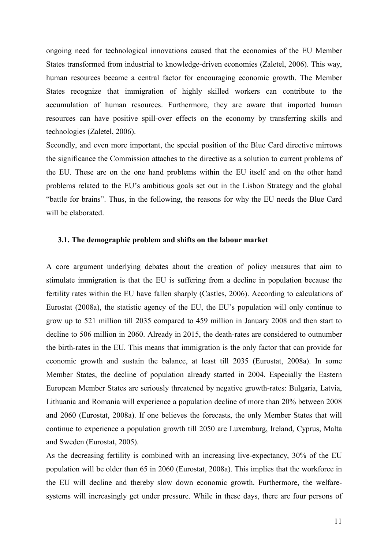ongoing need for technological innovations caused that the economies of the EU Member States transformed from industrial to knowledge-driven economies (Zaletel, 2006). This way, human resources became a central factor for encouraging economic growth. The Member States recognize that immigration of highly skilled workers can contribute to the accumulation of human resources. Furthermore, they are aware that imported human resources can have positive spill-over effects on the economy by transferring skills and technologies (Zaletel, 2006).

Secondly, and even more important, the special position of the Blue Card directive mirrows the significance the Commission attaches to the directive as a solution to current problems of the EU. These are on the one hand problems within the EU itself and on the other hand problems related to the EU's ambitious goals set out in the Lisbon Strategy and the global "battle for brains". Thus, in the following, the reasons for why the EU needs the Blue Card will be elaborated.

# **3.1. The demographic problem and shifts on the labour market**

A core argument underlying debates about the creation of policy measures that aim to stimulate immigration is that the EU is suffering from a decline in population because the fertility rates within the EU have fallen sharply (Castles, 2006). According to calculations of Eurostat (2008a), the statistic agency of the EU, the EU's population will only continue to grow up to 521 million till 2035 compared to 459 million in January 2008 and then start to decline to 506 million in 2060. Already in 2015, the death-rates are considered to outnumber the birth-rates in the EU. This means that immigration is the only factor that can provide for economic growth and sustain the balance, at least till 2035 (Eurostat, 2008a). In some Member States, the decline of population already started in 2004. Especially the Eastern European Member States are seriously threatened by negative growth-rates: Bulgaria, Latvia, Lithuania and Romania will experience a population decline of more than 20% between 2008 and 2060 (Eurostat, 2008a). If one believes the forecasts, the only Member States that will continue to experience a population growth till 2050 are Luxemburg, Ireland, Cyprus, Malta and Sweden (Eurostat, 2005).

As the decreasing fertility is combined with an increasing live-expectancy, 30% of the EU population will be older than 65 in 2060 (Eurostat, 2008a). This implies that the workforce in the EU will decline and thereby slow down economic growth. Furthermore, the welfaresystems will increasingly get under pressure. While in these days, there are four persons of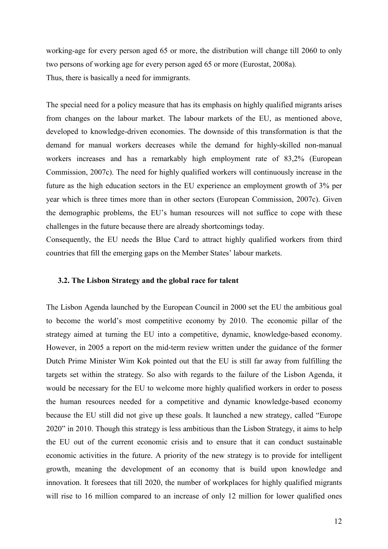working-age for every person aged 65 or more, the distribution will change till 2060 to only two persons of working age for every person aged 65 or more (Eurostat, 2008a). Thus, there is basically a need for immigrants.

The special need for a policy measure that has its emphasis on highly qualified migrants arises from changes on the labour market. The labour markets of the EU, as mentioned above, developed to knowledge-driven economies. The downside of this transformation is that the demand for manual workers decreases while the demand for highly-skilled non-manual workers increases and has a remarkably high employment rate of 83,2% (European Commission, 2007c). The need for highly qualified workers will continuously increase in the future as the high education sectors in the EU experience an employment growth of 3% per year which is three times more than in other sectors (European Commission, 2007c). Given the demographic problems, the EU's human resources will not suffice to cope with these challenges in the future because there are already shortcomings today.

Consequently, the EU needs the Blue Card to attract highly qualified workers from third countries that fill the emerging gaps on the Member States' labour markets.

#### **3.2. The Lisbon Strategy and the global race for talent**

The Lisbon Agenda launched by the European Council in 2000 set the EU the ambitious goal to become the world's most competitive economy by 2010. The economic pillar of the strategy aimed at turning the EU into a competitive, dynamic, knowledge-based economy. However, in 2005 a report on the mid-term review written under the guidance of the former Dutch Prime Minister Wim Kok pointed out that the EU is still far away from fulfilling the targets set within the strategy. So also with regards to the failure of the Lisbon Agenda, it would be necessary for the EU to welcome more highly qualified workers in order to posess the human resources needed for a competitive and dynamic knowledge-based economy because the EU still did not give up these goals. It launched a new strategy, called "Europe 2020" in 2010. Though this strategy is less ambitious than the Lisbon Strategy, it aims to help the EU out of the current economic crisis and to ensure that it can conduct sustainable economic activities in the future. A priority of the new strategy is to provide for intelligent growth, meaning the development of an economy that is build upon knowledge and innovation. It foresees that till 2020, the number of workplaces for highly qualified migrants will rise to 16 million compared to an increase of only 12 million for lower qualified ones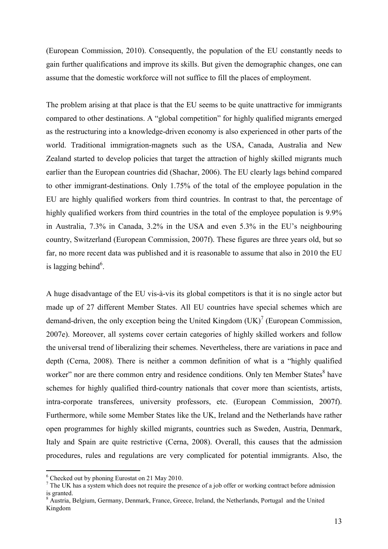(European Commission, 2010). Consequently, the population of the EU constantly needs to gain further qualifications and improve its skills. But given the demographic changes, one can assume that the domestic workforce will not suffice to fill the places of employment.

The problem arising at that place is that the EU seems to be quite unattractive for immigrants compared to other destinations. A "global competition" for highly qualified migrants emerged as the restructuring into a knowledge-driven economy is also experienced in other parts of the world. Traditional immigration-magnets such as the USA, Canada, Australia and New Zealand started to develop policies that target the attraction of highly skilled migrants much earlier than the European countries did (Shachar, 2006). The EU clearly lags behind compared to other immigrant-destinations. Only 1.75% of the total of the employee population in the EU are highly qualified workers from third countries. In contrast to that, the percentage of highly qualified workers from third countries in the total of the employee population is 9.9% in Australia, 7.3% in Canada, 3.2% in the USA and even 5.3% in the EU's neighbouring country, Switzerland (European Commission, 2007f). These figures are three years old, but so far, no more recent data was published and it is reasonable to assume that also in 2010 the EU is lagging behind<sup>6</sup>.

A huge disadvantage of the EU vis-à-vis its global competitors is that it is no single actor but made up of 27 different Member States. All EU countries have special schemes which are demand-driven, the only exception being the United Kingdom  $(UK)^{7}$  (European Commission, 2007e). Moreover, all systems cover certain categories of highly skilled workers and follow the universal trend of liberalizing their schemes. Nevertheless, there are variations in pace and depth (Cerna, 2008). There is neither a common definition of what is a "highly qualified worker" nor are there common entry and residence conditions. Only ten Member States have schemes for highly qualified third-country nationals that cover more than scientists, artists, intra-corporate transferees, university professors, etc. (European Commission, 2007f). Furthermore, while some Member States like the UK, Ireland and the Netherlands have rather open programmes for highly skilled migrants, countries such as Sweden, Austria, Denmark, Italy and Spain are quite restrictive (Cerna, 2008). Overall, this causes that the admission procedures, rules and regulations are very complicated for potential immigrants. Also, the

<sup>6</sup> Checked out by phoning Eurostat on 21 May 2010.

 $<sup>7</sup>$  The UK has a system which does not require the presence of a job offer or working contract before admission</sup> is granted.

<sup>&</sup>lt;sup>8</sup> Austria, Belgium, Germany, Denmark, France, Greece, Ireland, the Netherlands, Portugal and the United Kingdom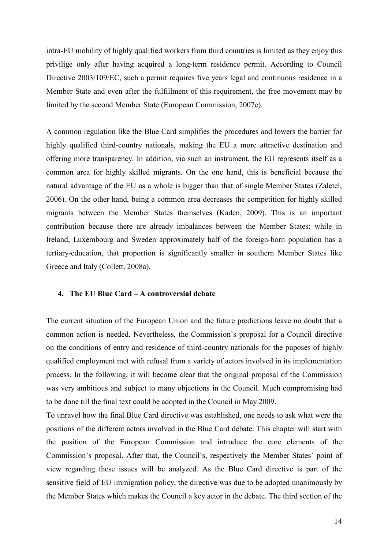intra-EU mobility of highly qualified workers from third countries is limited as they enjoy this privilige only after having acquired a long-term residence permit. According to Council Directive 2003/109/EC, such a permit requires five years legal and continuous residence in a Member State and even after the fulfillment of this requirement, the free movement may be limited by the second Member State (European Commission, 2007e).

A common regulation like the Blue Card simplifies the procedures and lowers the barrier for highly qualified third-country nationals, making the EU a more attractive destination and offering more transparency. In addition, via such an instrument, the EU represents itself as a common area for highly skilled migrants. On the one hand, this is beneficial because the natural advantage of the EU as a whole is bigger than that of single Member States (Zaletel, 2006). On the other hand, being a common area decreases the competition for highly skilled migrants between the Member States themselves (Kaden, 2009). This is an important contribution because there are already imbalances between the Member States: while in Ireland, Luxembourg and Sweden approximately half of the foreign-born population has a tertiary-education, that proportion is significantly smaller in southern Member States like Greece and Italy (Collett, 2008a).

#### **4. The EU Blue Card – A controversial debate**

The current situation of the European Union and the future predictions leave no doubt that a common action is needed. Nevertheless, the Commission's proposal for a Council directive on the conditions of entry and residence of third-country nationals for the puposes of highly qualified employment met with refusal from a variety of actors involved in its implementation process. In the following, it will become clear that the original proposal of the Commission was very ambitious and subject to many objections in the Council. Much compromising had to be done till the final text could be adopted in the Council in May 2009.

To unravel how the final Blue Card directive was established, one needs to ask what were the positions of the different actors involved in the Blue Card debate. This chapter will start with the position of the European Commission and introduce the core elements of the Commission's proposal. After that, the Council's, respectively the Member States' point of view regarding these issues will be analyzed. As the Blue Card directive is part of the sensitive field of EU immigration policy, the directive was due to be adopted unanimously by the Member States which makes the Council a key actor in the debate. The third section of the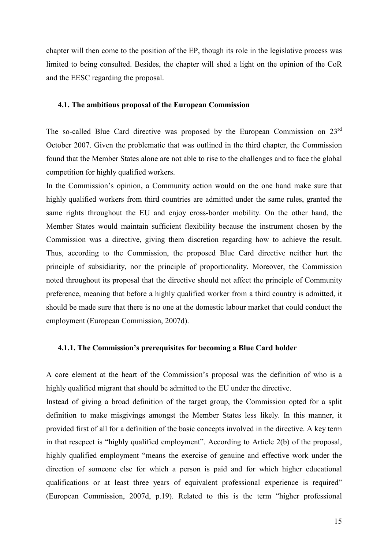chapter will then come to the position of the EP, though its role in the legislative process was limited to being consulted. Besides, the chapter will shed a light on the opinion of the CoR and the EESC regarding the proposal.

# **4.1. The ambitious proposal of the European Commission**

The so-called Blue Card directive was proposed by the European Commission on 23<sup>rd</sup> October 2007. Given the problematic that was outlined in the third chapter, the Commission found that the Member States alone are not able to rise to the challenges and to face the global competition for highly qualified workers.

In the Commission's opinion, a Community action would on the one hand make sure that highly qualified workers from third countries are admitted under the same rules, granted the same rights throughout the EU and enjoy cross-border mobility. On the other hand, the Member States would maintain sufficient flexibility because the instrument chosen by the Commission was a directive, giving them discretion regarding how to achieve the result. Thus, according to the Commission, the proposed Blue Card directive neither hurt the principle of subsidiarity, nor the principle of proportionality. Moreover, the Commission noted throughout its proposal that the directive should not affect the principle of Community preference, meaning that before a highly qualified worker from a third country is admitted, it should be made sure that there is no one at the domestic labour market that could conduct the employment (European Commission, 2007d).

#### **4.1.1. The Commission's prerequisites for becoming a Blue Card holder**

A core element at the heart of the Commission's proposal was the definition of who is a highly qualified migrant that should be admitted to the EU under the directive.

Instead of giving a broad definition of the target group, the Commission opted for a split definition to make misgivings amongst the Member States less likely. In this manner, it provided first of all for a definition of the basic concepts involved in the directive. A key term in that resepect is "highly qualified employment". According to Article 2(b) of the proposal, highly qualified employment "means the exercise of genuine and effective work under the direction of someone else for which a person is paid and for which higher educational qualifications or at least three years of equivalent professional experience is required" (European Commission, 2007d, p.19). Related to this is the term "higher professional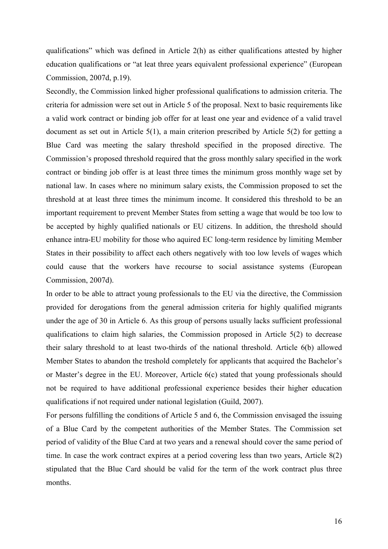qualifications" which was defined in Article 2(h) as either qualifications attested by higher education qualifications or "at leat three years equivalent professional experience" (European Commission, 2007d, p.19).

Secondly, the Commission linked higher professional qualifications to admission criteria. The criteria for admission were set out in Article 5 of the proposal. Next to basic requirements like a valid work contract or binding job offer for at least one year and evidence of a valid travel document as set out in Article 5(1), a main criterion prescribed by Article 5(2) for getting a Blue Card was meeting the salary threshold specified in the proposed directive. The Commission's proposed threshold required that the gross monthly salary specified in the work contract or binding job offer is at least three times the minimum gross monthly wage set by national law. In cases where no minimum salary exists, the Commission proposed to set the threshold at at least three times the minimum income. It considered this threshold to be an important requirement to prevent Member States from setting a wage that would be too low to be accepted by highly qualified nationals or EU citizens. In addition, the threshold should enhance intra-EU mobility for those who aquired EC long-term residence by limiting Member States in their possibility to affect each others negatively with too low levels of wages which could cause that the workers have recourse to social assistance systems (European Commission, 2007d).

In order to be able to attract young professionals to the EU via the directive, the Commission provided for derogations from the general admission criteria for highly qualified migrants under the age of 30 in Article 6. As this group of persons usually lacks sufficient professional qualifications to claim high salaries, the Commission proposed in Article 5(2) to decrease their salary threshold to at least two-thirds of the national threshold. Article 6(b) allowed Member States to abandon the treshold completely for applicants that acquired the Bachelor's or Master's degree in the EU. Moreover, Article 6(c) stated that young professionals should not be required to have additional professional experience besides their higher education qualifications if not required under national legislation (Guild, 2007).

For persons fulfilling the conditions of Article 5 and 6, the Commission envisaged the issuing of a Blue Card by the competent authorities of the Member States. The Commission set period of validity of the Blue Card at two years and a renewal should cover the same period of time. In case the work contract expires at a period covering less than two years, Article 8(2) stipulated that the Blue Card should be valid for the term of the work contract plus three months.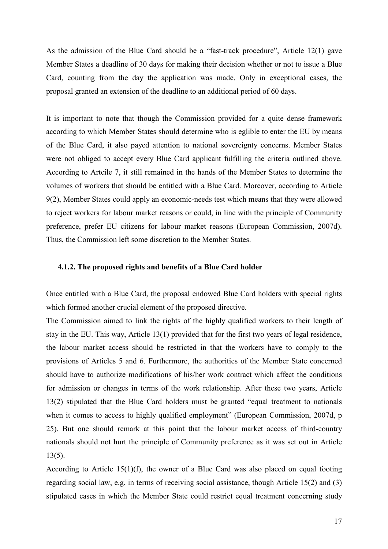As the admission of the Blue Card should be a "fast-track procedure", Article 12(1) gave Member States a deadline of 30 days for making their decision whether or not to issue a Blue Card, counting from the day the application was made. Only in exceptional cases, the proposal granted an extension of the deadline to an additional period of 60 days.

It is important to note that though the Commission provided for a quite dense framework according to which Member States should determine who is eglible to enter the EU by means of the Blue Card, it also payed attention to national sovereignty concerns. Member States were not obliged to accept every Blue Card applicant fulfilling the criteria outlined above. According to Artcile 7, it still remained in the hands of the Member States to determine the volumes of workers that should be entitled with a Blue Card. Moreover, according to Article 9(2), Member States could apply an economic-needs test which means that they were allowed to reject workers for labour market reasons or could, in line with the principle of Community preference, prefer EU citizens for labour market reasons (European Commission, 2007d). Thus, the Commission left some discretion to the Member States.

#### **4.1.2. The proposed rights and benefits of a Blue Card holder**

Once entitled with a Blue Card, the proposal endowed Blue Card holders with special rights which formed another crucial element of the proposed directive.

The Commission aimed to link the rights of the highly qualified workers to their length of stay in the EU. This way, Article 13(1) provided that for the first two years of legal residence, the labour market access should be restricted in that the workers have to comply to the provisions of Articles 5 and 6. Furthermore, the authorities of the Member State concerned should have to authorize modifications of his/her work contract which affect the conditions for admission or changes in terms of the work relationship. After these two years, Article 13(2) stipulated that the Blue Card holders must be granted "equal treatment to nationals when it comes to access to highly qualified employment" (European Commission, 2007d, p 25). But one should remark at this point that the labour market access of third-country nationals should not hurt the principle of Community preference as it was set out in Article 13(5).

According to Article 15(1)(f), the owner of a Blue Card was also placed on equal footing regarding social law, e.g. in terms of receiving social assistance, though Article 15(2) and (3) stipulated cases in which the Member State could restrict equal treatment concerning study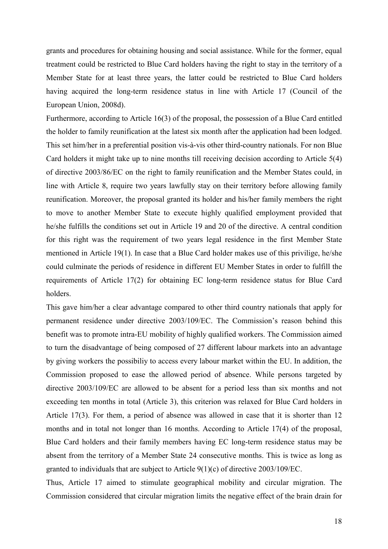grants and procedures for obtaining housing and social assistance. While for the former, equal treatment could be restricted to Blue Card holders having the right to stay in the territory of a Member State for at least three years, the latter could be restricted to Blue Card holders having acquired the long-term residence status in line with Article 17 (Council of the European Union, 2008d).

Furthermore, according to Article 16(3) of the proposal, the possession of a Blue Card entitled the holder to family reunification at the latest six month after the application had been lodged. This set him/her in a preferential position vis-à-vis other third-country nationals. For non Blue Card holders it might take up to nine months till receiving decision according to Article 5(4) of directive 2003/86/EC on the right to family reunification and the Member States could, in line with Article 8, require two years lawfully stay on their territory before allowing family reunification. Moreover, the proposal granted its holder and his/her family members the right to move to another Member State to execute highly qualified employment provided that he/she fulfills the conditions set out in Article 19 and 20 of the directive. A central condition for this right was the requirement of two years legal residence in the first Member State mentioned in Article 19(1). In case that a Blue Card holder makes use of this privilige, he/she could culminate the periods of residence in different EU Member States in order to fulfill the requirements of Article 17(2) for obtaining EC long-term residence status for Blue Card holders.

This gave him/her a clear advantage compared to other third country nationals that apply for permanent residence under directive 2003/109/EC. The Commission's reason behind this benefit was to promote intra-EU mobility of highly qualified workers. The Commission aimed to turn the disadvantage of being composed of 27 different labour markets into an advantage by giving workers the possibiliy to access every labour market within the EU. In addition, the Commission proposed to ease the allowed period of absence. While persons targeted by directive 2003/109/EC are allowed to be absent for a period less than six months and not exceeding ten months in total (Article 3), this criterion was relaxed for Blue Card holders in Article 17(3). For them, a period of absence was allowed in case that it is shorter than 12 months and in total not longer than 16 months. According to Article 17(4) of the proposal, Blue Card holders and their family members having EC long-term residence status may be absent from the territory of a Member State 24 consecutive months. This is twice as long as granted to individuals that are subject to Article 9(1)(c) of directive 2003/109/EC.

Thus, Article 17 aimed to stimulate geographical mobility and circular migration. The Commission considered that circular migration limits the negative effect of the brain drain for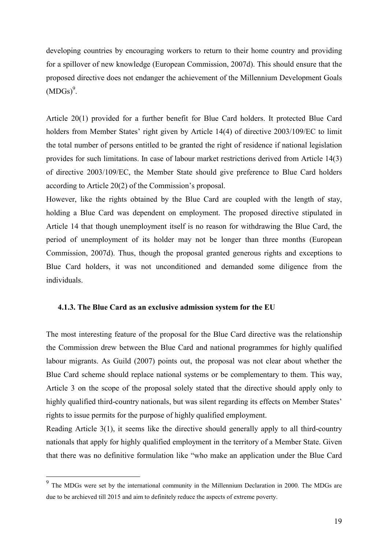developing countries by encouraging workers to return to their home country and providing for a spillover of new knowledge (European Commission, 2007d). This should ensure that the proposed directive does not endanger the achievement of the Millennium Development Goals  $(MDGs)^9$ .

Article 20(1) provided for a further benefit for Blue Card holders. It protected Blue Card holders from Member States' right given by Article 14(4) of directive 2003/109/EC to limit the total number of persons entitled to be granted the right of residence if national legislation provides for such limitations. In case of labour market restrictions derived from Article 14(3) of directive 2003/109/EC, the Member State should give preference to Blue Card holders according to Article 20(2) of the Commission's proposal.

However, like the rights obtained by the Blue Card are coupled with the length of stay, holding a Blue Card was dependent on employment. The proposed directive stipulated in Article 14 that though unemployment itself is no reason for withdrawing the Blue Card, the period of unemployment of its holder may not be longer than three months (European Commission, 2007d). Thus, though the proposal granted generous rights and exceptions to Blue Card holders, it was not unconditioned and demanded some diligence from the individuals.

#### **4.1.3. The Blue Card as an exclusive admission system for the EU**

The most interesting feature of the proposal for the Blue Card directive was the relationship the Commission drew between the Blue Card and national programmes for highly qualified labour migrants. As Guild (2007) points out, the proposal was not clear about whether the Blue Card scheme should replace national systems or be complementary to them. This way, Article 3 on the scope of the proposal solely stated that the directive should apply only to highly qualified third-country nationals, but was silent regarding its effects on Member States' rights to issue permits for the purpose of highly qualified employment.

Reading Article 3(1), it seems like the directive should generally apply to all third-country nationals that apply for highly qualified employment in the territory of a Member State. Given that there was no definitive formulation like "who make an application under the Blue Card

<sup>&</sup>lt;sup>9</sup> The MDGs were set by the international community in the Millennium Declaration in 2000. The MDGs are due to be archieved till 2015 and aim to definitely reduce the aspects of extreme poverty.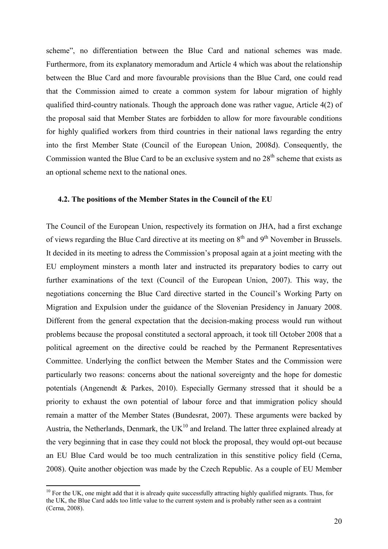scheme", no differentiation between the Blue Card and national schemes was made. Furthermore, from its explanatory memoradum and Article 4 which was about the relationship between the Blue Card and more favourable provisions than the Blue Card, one could read that the Commission aimed to create a common system for labour migration of highly qualified third-country nationals. Though the approach done was rather vague, Article 4(2) of the proposal said that Member States are forbidden to allow for more favourable conditions for highly qualified workers from third countries in their national laws regarding the entry into the first Member State (Council of the European Union, 2008d). Consequently, the Commission wanted the Blue Card to be an exclusive system and no  $28<sup>th</sup>$  scheme that exists as an optional scheme next to the national ones.

#### **4.2. The positions of the Member States in the Council of the EU**

The Council of the European Union, respectively its formation on JHA, had a first exchange of views regarding the Blue Card directive at its meeting on  $8<sup>th</sup>$  and  $9<sup>th</sup>$  November in Brussels. It decided in its meeting to adress the Commission's proposal again at a joint meeting with the EU employment minsters a month later and instructed its preparatory bodies to carry out further examinations of the text (Council of the European Union, 2007). This way, the negotiations concerning the Blue Card directive started in the Council's Working Party on Migration and Expulsion under the guidance of the Slovenian Presidency in January 2008. Different from the general expectation that the decision-making process would run without problems because the proposal constituted a sectoral approach, it took till October 2008 that a political agreement on the directive could be reached by the Permanent Representatives Committee. Underlying the conflict between the Member States and the Commission were particularly two reasons: concerns about the national sovereignty and the hope for domestic potentials (Angenendt & Parkes, 2010). Especially Germany stressed that it should be a priority to exhaust the own potential of labour force and that immigration policy should remain a matter of the Member States (Bundesrat, 2007). These arguments were backed by Austria, the Netherlands, Denmark, the  $UK^{10}$  and Ireland. The latter three explained already at the very beginning that in case they could not block the proposal, they would opt-out because an EU Blue Card would be too much centralization in this senstitive policy field (Cerna, 2008). Quite another objection was made by the Czech Republic. As a couple of EU Member

 $10$  For the UK, one might add that it is already quite successfully attracting highly qualified migrants. Thus, for the UK, the Blue Card adds too little value to the current system and is probably rather seen as a contraint (Cerna, 2008).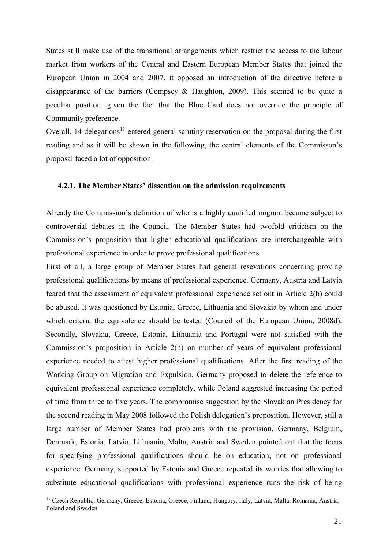States still make use of the transitional arrangements which restrict the access to the labour market from workers of the Central and Eastern European Member States that joined the European Union in 2004 and 2007, it opposed an introduction of the directive before a disappearance of the barriers (Compsey & Haughton, 2009). This seemed to be quite a peculiar position, given the fact that the Blue Card does not override the principle of Community preference.

Overall, 14 delegations<sup>11</sup> entered general scrutiny reservation on the proposal during the first reading and as it will be shown in the following, the central elements of the Commisson's proposal faced a lot of opposition.

#### **4.2.1. The Member States' dissention on the admission requirements**

Already the Commission's definition of who is a highly qualified migrant became subject to controversial debates in the Council. The Member States had twofold criticism on the Commission's proposition that higher educational qualifications are interchangeable with professional experience in order to prove professional qualifications.

First of all, a large group of Member States had general resevations concerning proving professional qualifications by means of professional experience. Germany, Austria and Latvia feared that the assessment of equivalent professional experience set out in Article 2(b) could be abused. It was questioned by Estonia, Greece, Lithuania and Slovakia by whom and under which criteria the equivalence should be tested (Council of the European Union, 2008d). Secondly, Slovakia, Greece, Estonia, Lithuania and Portugal were not satisfied with the Commission's proposition in Article 2(h) on number of years of equivalent professional experience needed to attest higher professional qualifications. After the first reading of the Working Group on Migration and Expulsion, Germany proposed to delete the reference to equivalent professional experience completely, while Poland suggested increasing the period of time from three to five years. The compromise suggestion by the Slovakian Presidency for the second reading in May 2008 followed the Polish delegation's proposition. However, still a large number of Member States had problems with the provision. Germany, Belgium, Denmark, Estonia, Latvia, Lithuania, Malta, Austria and Sweden pointed out that the focus for specifying professional qualifications should be on education, not on professional experience. Germany, supported by Estonia and Greece repeated its worries that allowing to substitute educational qualifications with professional experience runs the risk of being

<sup>&</sup>lt;sup>11</sup> Czech Republic, Germany, Greece, Estonia, Greece, Finland, Hungary, Italy, Latvia, Malta, Romania, Austria, Poland and Sweden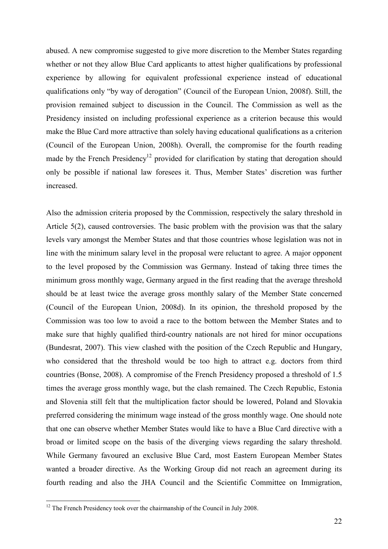abused. A new compromise suggested to give more discretion to the Member States regarding whether or not they allow Blue Card applicants to attest higher qualifications by professional experience by allowing for equivalent professional experience instead of educational qualifications only "by way of derogation" (Council of the European Union, 2008f). Still, the provision remained subject to discussion in the Council. The Commission as well as the Presidency insisted on including professional experience as a criterion because this would make the Blue Card more attractive than solely having educational qualifications as a criterion (Council of the European Union, 2008h). Overall, the compromise for the fourth reading made by the French Presidency<sup>12</sup> provided for clarification by stating that derogation should only be possible if national law foresees it. Thus, Member States' discretion was further increased.

Also the admission criteria proposed by the Commission, respectively the salary threshold in Article 5(2), caused controversies. The basic problem with the provision was that the salary levels vary amongst the Member States and that those countries whose legislation was not in line with the minimum salary level in the proposal were reluctant to agree. A major opponent to the level proposed by the Commission was Germany. Instead of taking three times the minimum gross monthly wage, Germany argued in the first reading that the average threshold should be at least twice the average gross monthly salary of the Member State concerned (Council of the European Union, 2008d). In its opinion, the threshold proposed by the Commission was too low to avoid a race to the bottom between the Member States and to make sure that highly qualified third-country nationals are not hired for minor occupations (Bundesrat, 2007). This view clashed with the position of the Czech Republic and Hungary, who considered that the threshold would be too high to attract e.g. doctors from third countries (Bonse, 2008). A compromise of the French Presidency proposed a threshold of 1.5 times the average gross monthly wage, but the clash remained. The Czech Republic, Estonia and Slovenia still felt that the multiplication factor should be lowered, Poland and Slovakia preferred considering the minimum wage instead of the gross monthly wage. One should note that one can observe whether Member States would like to have a Blue Card directive with a broad or limited scope on the basis of the diverging views regarding the salary threshold. While Germany favoured an exclusive Blue Card, most Eastern European Member States wanted a broader directive. As the Working Group did not reach an agreement during its fourth reading and also the JHA Council and the Scientific Committee on Immigration,

 $12$  The French Presidency took over the chairmanship of the Council in July 2008.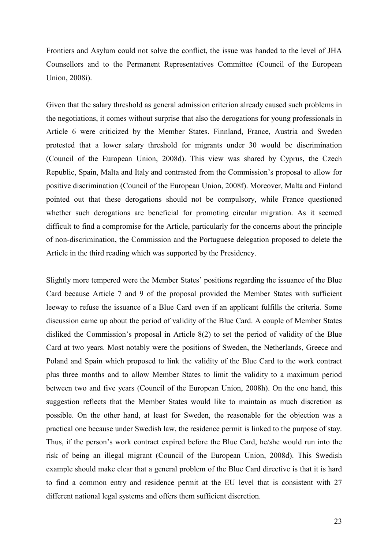Frontiers and Asylum could not solve the conflict, the issue was handed to the level of JHA Counsellors and to the Permanent Representatives Committee (Council of the European Union, 2008i).

Given that the salary threshold as general admission criterion already caused such problems in the negotiations, it comes without surprise that also the derogations for young professionals in Article 6 were criticized by the Member States. Finnland, France, Austria and Sweden protested that a lower salary threshold for migrants under 30 would be discrimination (Council of the European Union, 2008d). This view was shared by Cyprus, the Czech Republic, Spain, Malta and Italy and contrasted from the Commission's proposal to allow for positive discrimination (Council of the European Union, 2008f). Moreover, Malta and Finland pointed out that these derogations should not be compulsory, while France questioned whether such derogations are beneficial for promoting circular migration. As it seemed difficult to find a compromise for the Article, particularly for the concerns about the principle of non-discrimination, the Commission and the Portuguese delegation proposed to delete the Article in the third reading which was supported by the Presidency.

Slightly more tempered were the Member States' positions regarding the issuance of the Blue Card because Article 7 and 9 of the proposal provided the Member States with sufficient leeway to refuse the issuance of a Blue Card even if an applicant fulfills the criteria. Some discussion came up about the period of validity of the Blue Card. A couple of Member States disliked the Commission's proposal in Article 8(2) to set the period of validity of the Blue Card at two years. Most notably were the positions of Sweden, the Netherlands, Greece and Poland and Spain which proposed to link the validity of the Blue Card to the work contract plus three months and to allow Member States to limit the validity to a maximum period between two and five years (Council of the European Union, 2008h). On the one hand, this suggestion reflects that the Member States would like to maintain as much discretion as possible. On the other hand, at least for Sweden, the reasonable for the objection was a practical one because under Swedish law, the residence permit is linked to the purpose of stay. Thus, if the person's work contract expired before the Blue Card, he/she would run into the risk of being an illegal migrant (Council of the European Union, 2008d). This Swedish example should make clear that a general problem of the Blue Card directive is that it is hard to find a common entry and residence permit at the EU level that is consistent with 27 different national legal systems and offers them sufficient discretion.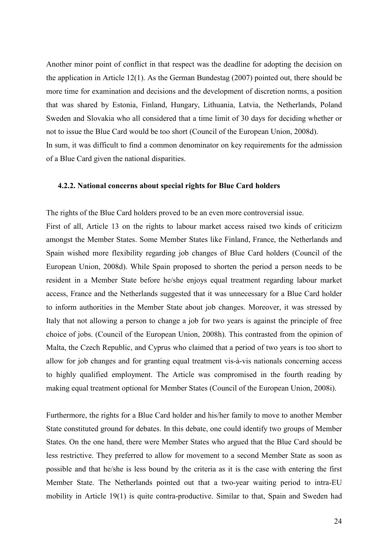Another minor point of conflict in that respect was the deadline for adopting the decision on the application in Article 12(1). As the German Bundestag (2007) pointed out, there should be more time for examination and decisions and the development of discretion norms, a position that was shared by Estonia, Finland, Hungary, Lithuania, Latvia, the Netherlands, Poland Sweden and Slovakia who all considered that a time limit of 30 days for deciding whether or not to issue the Blue Card would be too short (Council of the European Union, 2008d). In sum, it was difficult to find a common denominator on key requirements for the admission of a Blue Card given the national disparities.

#### **4.2.2. 1ational concerns about special rights for Blue Card holders**

The rights of the Blue Card holders proved to be an even more controversial issue.

First of all, Article 13 on the rights to labour market access raised two kinds of criticizm amongst the Member States. Some Member States like Finland, France, the Netherlands and Spain wished more flexibility regarding job changes of Blue Card holders (Council of the European Union, 2008d). While Spain proposed to shorten the period a person needs to be resident in a Member State before he/she enjoys equal treatment regarding labour market access, France and the Netherlands suggested that it was unnecessary for a Blue Card holder to inform authorities in the Member State about job changes. Moreover, it was stressed by Italy that not allowing a person to change a job for two years is against the principle of free choice of jobs. (Council of the European Union, 2008h). This contrasted from the opinion of Malta, the Czech Republic, and Cyprus who claimed that a period of two years is too short to allow for job changes and for granting equal treatment vis-à-vis nationals concerning access to highly qualified employment. The Article was compromised in the fourth reading by making equal treatment optional for Member States (Council of the European Union, 2008i).

Furthermore, the rights for a Blue Card holder and his/her family to move to another Member State constituted ground for debates. In this debate, one could identify two groups of Member States. On the one hand, there were Member States who argued that the Blue Card should be less restrictive. They preferred to allow for movement to a second Member State as soon as possible and that he/she is less bound by the criteria as it is the case with entering the first Member State. The Netherlands pointed out that a two-year waiting period to intra-EU mobility in Article 19(1) is quite contra-productive. Similar to that, Spain and Sweden had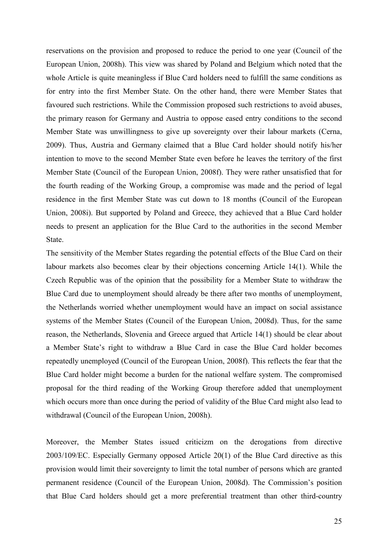reservations on the provision and proposed to reduce the period to one year (Council of the European Union, 2008h). This view was shared by Poland and Belgium which noted that the whole Article is quite meaningless if Blue Card holders need to fulfill the same conditions as for entry into the first Member State. On the other hand, there were Member States that favoured such restrictions. While the Commission proposed such restrictions to avoid abuses, the primary reason for Germany and Austria to oppose eased entry conditions to the second Member State was unwillingness to give up sovereignty over their labour markets (Cerna, 2009). Thus, Austria and Germany claimed that a Blue Card holder should notify his/her intention to move to the second Member State even before he leaves the territory of the first Member State (Council of the European Union, 2008f). They were rather unsatisfied that for the fourth reading of the Working Group, a compromise was made and the period of legal residence in the first Member State was cut down to 18 months (Council of the European Union, 2008i). But supported by Poland and Greece, they achieved that a Blue Card holder needs to present an application for the Blue Card to the authorities in the second Member **State** 

The sensitivity of the Member States regarding the potential effects of the Blue Card on their labour markets also becomes clear by their objections concerning Article 14(1). While the Czech Republic was of the opinion that the possibility for a Member State to withdraw the Blue Card due to unemployment should already be there after two months of unemployment, the Netherlands worried whether unemployment would have an impact on social assistance systems of the Member States (Council of the European Union, 2008d). Thus, for the same reason, the Netherlands, Slovenia and Greece argued that Article 14(1) should be clear about a Member State's right to withdraw a Blue Card in case the Blue Card holder becomes repeatedly unemployed (Council of the European Union, 2008f). This reflects the fear that the Blue Card holder might become a burden for the national welfare system. The compromised proposal for the third reading of the Working Group therefore added that unemployment which occurs more than once during the period of validity of the Blue Card might also lead to withdrawal (Council of the European Union, 2008h).

Moreover, the Member States issued criticizm on the derogations from directive 2003/109/EC. Especially Germany opposed Article 20(1) of the Blue Card directive as this provision would limit their sovereignty to limit the total number of persons which are granted permanent residence (Council of the European Union, 2008d). The Commission's position that Blue Card holders should get a more preferential treatment than other third-country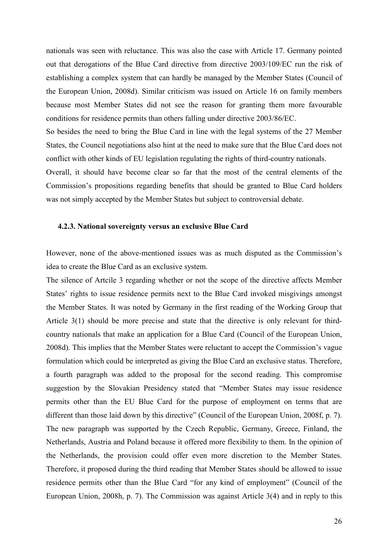nationals was seen with reluctance. This was also the case with Article 17. Germany pointed out that derogations of the Blue Card directive from directive 2003/109/EC run the risk of establishing a complex system that can hardly be managed by the Member States (Council of the European Union, 2008d). Similar criticism was issued on Article 16 on family members because most Member States did not see the reason for granting them more favourable conditions for residence permits than others falling under directive 2003/86/EC.

So besides the need to bring the Blue Card in line with the legal systems of the 27 Member States, the Council negotiations also hint at the need to make sure that the Blue Card does not conflict with other kinds of EU legislation regulating the rights of third-country nationals.

Overall, it should have become clear so far that the most of the central elements of the Commission's propositions regarding benefits that should be granted to Blue Card holders was not simply accepted by the Member States but subject to controversial debate.

### **4.2.3. 1ational sovereignty versus an exclusive Blue Card**

However, none of the above-mentioned issues was as much disputed as the Commission's idea to create the Blue Card as an exclusive system.

The silence of Artcile 3 regarding whether or not the scope of the directive affects Member States' rights to issue residence permits next to the Blue Card invoked misgivings amongst the Member States. It was noted by Germany in the first reading of the Working Group that Article 3(1) should be more precise and state that the directive is only relevant for thirdcountry nationals that make an application for a Blue Card (Council of the European Union, 2008d). This implies that the Member States were reluctant to accept the Commission's vague formulation which could be interpreted as giving the Blue Card an exclusive status. Therefore, a fourth paragraph was added to the proposal for the second reading. This compromise suggestion by the Slovakian Presidency stated that "Member States may issue residence permits other than the EU Blue Card for the purpose of employment on terms that are different than those laid down by this directive" (Council of the European Union, 2008f, p. 7). The new paragraph was supported by the Czech Republic, Germany, Greece, Finland, the Netherlands, Austria and Poland because it offered more flexibility to them. In the opinion of the Netherlands, the provision could offer even more discretion to the Member States. Therefore, it proposed during the third reading that Member States should be allowed to issue residence permits other than the Blue Card "for any kind of employment" (Council of the European Union, 2008h, p. 7). The Commission was against Article 3(4) and in reply to this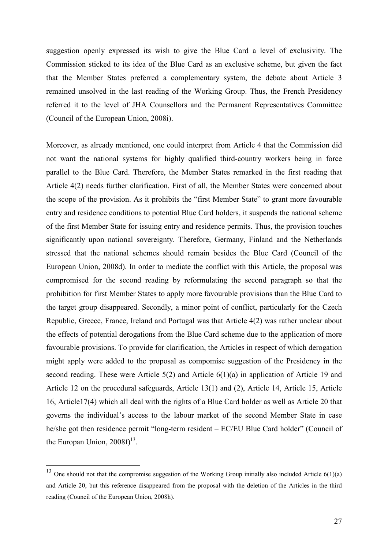suggestion openly expressed its wish to give the Blue Card a level of exclusivity. The Commission sticked to its idea of the Blue Card as an exclusive scheme, but given the fact that the Member States preferred a complementary system, the debate about Article 3 remained unsolved in the last reading of the Working Group. Thus, the French Presidency referred it to the level of JHA Counsellors and the Permanent Representatives Committee (Council of the European Union, 2008i).

Moreover, as already mentioned, one could interpret from Article 4 that the Commission did not want the national systems for highly qualified third-country workers being in force parallel to the Blue Card. Therefore, the Member States remarked in the first reading that Article 4(2) needs further clarification. First of all, the Member States were concerned about the scope of the provision. As it prohibits the "first Member State" to grant more favourable entry and residence conditions to potential Blue Card holders, it suspends the national scheme of the first Member State for issuing entry and residence permits. Thus, the provision touches significantly upon national sovereignty. Therefore, Germany, Finland and the Netherlands stressed that the national schemes should remain besides the Blue Card (Council of the European Union, 2008d). In order to mediate the conflict with this Article, the proposal was compromised for the second reading by reformulating the second paragraph so that the prohibition for first Member States to apply more favourable provisions than the Blue Card to the target group disappeared. Secondly, a minor point of conflict, particularly for the Czech Republic, Greece, France, Ireland and Portugal was that Article 4(2) was rather unclear about the effects of potential derogations from the Blue Card scheme due to the application of more favourable provisions. To provide for clarification, the Articles in respect of which derogation might apply were added to the proposal as compomise suggestion of the Presidency in the second reading. These were Article 5(2) and Article 6(1)(a) in application of Article 19 and Article 12 on the procedural safeguards, Article 13(1) and (2), Article 14, Article 15, Article 16, Article17(4) which all deal with the rights of a Blue Card holder as well as Article 20 that governs the individual's access to the labour market of the second Member State in case he/she got then residence permit "long-term resident – EC/EU Blue Card holder" (Council of the Europan Union,  $2008f$ <sup>13</sup>.

<sup>&</sup>lt;sup>13</sup> One should not that the compromise suggestion of the Working Group initially also included Article  $6(1)(a)$ and Article 20, but this reference disappeared from the proposal with the deletion of the Articles in the third reading (Council of the European Union, 2008h).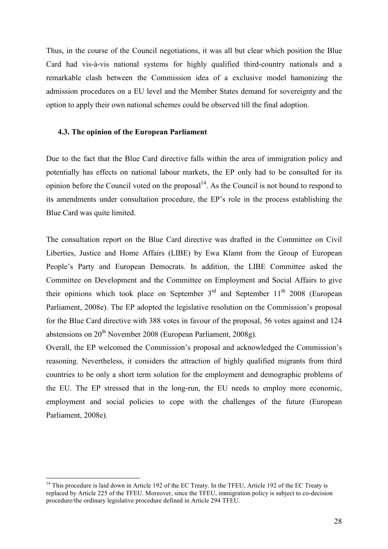Thus, in the course of the Council negotiations, it was all but clear which position the Blue Card had vis-à-vis national systems for highly qualified third-country nationals and a remarkable clash between the Commission idea of a exclusive model hamonizing the admission procedures on a EU level and the Member States demand for sovereignty and the option to apply their own national schemes could be observed till the final adoption.

# **4.3. The opinion of the European Parliament**

Due to the fact that the Blue Card directive falls within the area of immigration policy and potentially has effects on national labour markets, the EP only had to be consulted for its opinion before the Council voted on the proposal<sup>14</sup>. As the Council is not bound to respond to its amendments under consultation procedure, the EP's role in the process establishing the Blue Card was quite limited.

The consultation report on the Blue Card directive was drafted in the Committee on Civil Liberties, Justice and Home Affairs (LIBE) by Ewa Klamt from the Group of European People's Party and European Democrats. In addition, the LIBE Committee asked the Committee on Development and the Committee on Employment and Social Affairs to give their opinions which took place on September  $3<sup>rd</sup>$  and September  $11<sup>th</sup>$  2008 (European Parliament, 2008e). The EP adopted the legislative resolution on the Commission's proposal for the Blue Card directive with 388 votes in favour of the proposal, 56 votes against and 124 abstensions on  $20^{th}$  November 2008 (European Parliament, 2008g).

Overall, the EP welcomed the Commission's proposal and acknowledged the Commission's reasoning. Nevertheless, it considers the attraction of highly qualified migrants from third countries to be only a short term solution for the employment and demographic problems of the EU. The EP stressed that in the long-run, the EU needs to employ more economic, employment and social policies to cope with the challenges of the future (European Parliament, 2008e).

<sup>&</sup>lt;sup>14</sup> This procedure is laid down in Article 192 of the EC Treaty. In the TFEU, Article 192 of the EC Treaty is replaced by Article 225 of the TFEU. Moreover, since the TFEU, immigration policy is subject to co-decision procedure/the ordinary legislative procedure defined in Article 294 TFEU.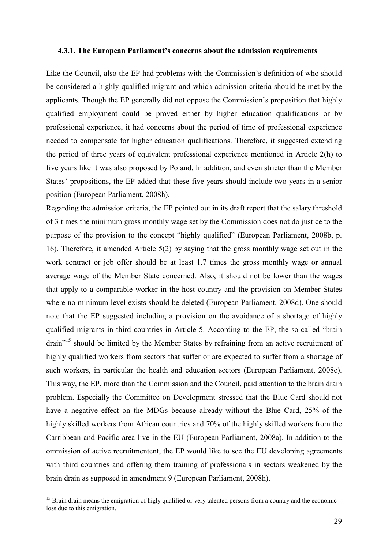#### **4.3.1. The European Parliament's concerns about the admission requirements**

Like the Council, also the EP had problems with the Commission's definition of who should be considered a highly qualified migrant and which admission criteria should be met by the applicants. Though the EP generally did not oppose the Commission's proposition that highly qualified employment could be proved either by higher education qualifications or by professional experience, it had concerns about the period of time of professional experience needed to compensate for higher education qualifications. Therefore, it suggested extending the period of three years of equivalent professional experience mentioned in Article 2(h) to five years like it was also proposed by Poland. In addition, and even stricter than the Member States' propositions, the EP added that these five years should include two years in a senior position (European Parliament, 2008h).

Regarding the admission criteria, the EP pointed out in its draft report that the salary threshold of 3 times the minimum gross monthly wage set by the Commission does not do justice to the purpose of the provision to the concept "highly qualified" (European Parliament, 2008b, p. 16). Therefore, it amended Article 5(2) by saying that the gross monthly wage set out in the work contract or job offer should be at least 1.7 times the gross monthly wage or annual average wage of the Member State concerned. Also, it should not be lower than the wages that apply to a comparable worker in the host country and the provision on Member States where no minimum level exists should be deleted (European Parliament, 2008d). One should note that the EP suggested including a provision on the avoidance of a shortage of highly qualified migrants in third countries in Article 5. According to the EP, the so-called "brain drain<sup>"15</sup> should be limited by the Member States by refraining from an active recruitment of highly qualified workers from sectors that suffer or are expected to suffer from a shortage of such workers, in particular the health and education sectors (European Parliament, 2008e). This way, the EP, more than the Commission and the Council, paid attention to the brain drain problem. Especially the Committee on Development stressed that the Blue Card should not have a negative effect on the MDGs because already without the Blue Card, 25% of the highly skilled workers from African countries and 70% of the highly skilled workers from the Carribbean and Pacific area live in the EU (European Parliament, 2008a). In addition to the ommission of active recruitmentent, the EP would like to see the EU developing agreements with third countries and offering them training of professionals in sectors weakened by the brain drain as supposed in amendment 9 (European Parliament, 2008h).

<sup>&</sup>lt;sup>15</sup> Brain drain means the emigration of higly qualified or very talented persons from a country and the economic loss due to this emigration.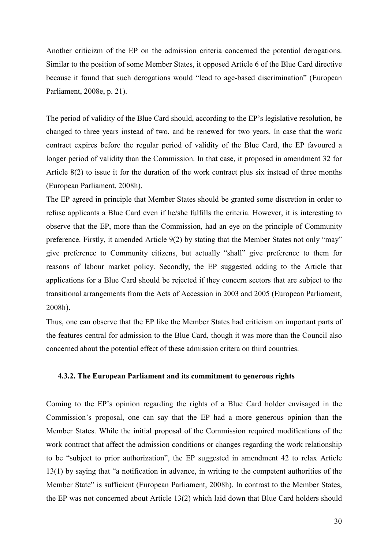Another criticizm of the EP on the admission criteria concerned the potential derogations. Similar to the position of some Member States, it opposed Article 6 of the Blue Card directive because it found that such derogations would "lead to age-based discrimination" (European Parliament, 2008e, p. 21).

The period of validity of the Blue Card should, according to the EP's legislative resolution, be changed to three years instead of two, and be renewed for two years. In case that the work contract expires before the regular period of validity of the Blue Card, the EP favoured a longer period of validity than the Commission. In that case, it proposed in amendment 32 for Article 8(2) to issue it for the duration of the work contract plus six instead of three months (European Parliament, 2008h).

The EP agreed in principle that Member States should be granted some discretion in order to refuse applicants a Blue Card even if he/she fulfills the criteria. However, it is interesting to observe that the EP, more than the Commission, had an eye on the principle of Community preference. Firstly, it amended Article 9(2) by stating that the Member States not only "may" give preference to Community citizens, but actually "shall" give preference to them for reasons of labour market policy. Secondly, the EP suggested adding to the Article that applications for a Blue Card should be rejected if they concern sectors that are subject to the transitional arrangements from the Acts of Accession in 2003 and 2005 (European Parliament, 2008h).

Thus, one can observe that the EP like the Member States had criticism on important parts of the features central for admission to the Blue Card, though it was more than the Council also concerned about the potential effect of these admission critera on third countries.

# **4.3.2. The European Parliament and its commitment to generous rights**

Coming to the EP's opinion regarding the rights of a Blue Card holder envisaged in the Commission's proposal, one can say that the EP had a more generous opinion than the Member States. While the initial proposal of the Commission required modifications of the work contract that affect the admission conditions or changes regarding the work relationship to be "subject to prior authorization", the EP suggested in amendment 42 to relax Article 13(1) by saying that "a notification in advance, in writing to the competent authorities of the Member State" is sufficient (European Parliament, 2008h). In contrast to the Member States, the EP was not concerned about Article 13(2) which laid down that Blue Card holders should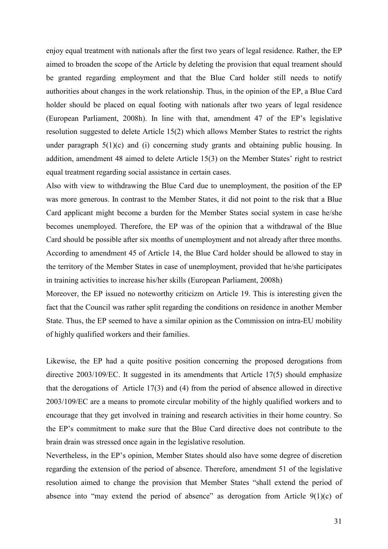enjoy equal treatment with nationals after the first two years of legal residence. Rather, the EP aimed to broaden the scope of the Article by deleting the provision that equal treament should be granted regarding employment and that the Blue Card holder still needs to notify authorities about changes in the work relationship. Thus, in the opinion of the EP, a Blue Card holder should be placed on equal footing with nationals after two years of legal residence (European Parliament, 2008h). In line with that, amendment 47 of the EP's legislative resolution suggested to delete Article 15(2) which allows Member States to restrict the rights under paragraph 5(1)(c) and (i) concerning study grants and obtaining public housing. In addition, amendment 48 aimed to delete Article 15(3) on the Member States' right to restrict equal treatment regarding social assistance in certain cases.

Also with view to withdrawing the Blue Card due to unemployment, the position of the EP was more generous. In contrast to the Member States, it did not point to the risk that a Blue Card applicant might become a burden for the Member States social system in case he/she becomes unemployed. Therefore, the EP was of the opinion that a withdrawal of the Blue Card should be possible after six months of unemployment and not already after three months. According to amendment 45 of Article 14, the Blue Card holder should be allowed to stay in the territory of the Member States in case of unemployment, provided that he/she participates in training activities to increase his/her skills (European Parliament, 2008h)

Moreover, the EP issued no noteworthy criticizm on Article 19. This is interesting given the fact that the Council was rather split regarding the conditions on residence in another Member State. Thus, the EP seemed to have a similar opinion as the Commission on intra-EU mobility of highly qualified workers and their families.

Likewise, the EP had a quite positive position concerning the proposed derogations from directive 2003/109/EC. It suggested in its amendments that Article 17(5) should emphasize that the derogations of Article 17(3) and (4) from the period of absence allowed in directive 2003/109/EC are a means to promote circular mobility of the highly qualified workers and to encourage that they get involved in training and research activities in their home country. So the EP's commitment to make sure that the Blue Card directive does not contribute to the brain drain was stressed once again in the legislative resolution.

Nevertheless, in the EP's opinion, Member States should also have some degree of discretion regarding the extension of the period of absence. Therefore, amendment 51 of the legislative resolution aimed to change the provision that Member States "shall extend the period of absence into "may extend the period of absence" as derogation from Article 9(1)(c) of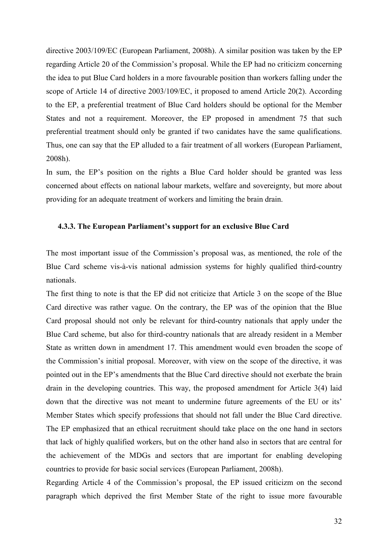directive 2003/109/EC (European Parliament, 2008h). A similar position was taken by the EP regarding Article 20 of the Commission's proposal. While the EP had no criticizm concerning the idea to put Blue Card holders in a more favourable position than workers falling under the scope of Article 14 of directive 2003/109/EC, it proposed to amend Article 20(2). According to the EP, a preferential treatment of Blue Card holders should be optional for the Member States and not a requirement. Moreover, the EP proposed in amendment 75 that such preferential treatment should only be granted if two canidates have the same qualifications. Thus, one can say that the EP alluded to a fair treatment of all workers (European Parliament, 2008h).

In sum, the EP's position on the rights a Blue Card holder should be granted was less concerned about effects on national labour markets, welfare and sovereignty, but more about providing for an adequate treatment of workers and limiting the brain drain.

#### **4.3.3. The European Parliament's support for an exclusive Blue Card**

The most important issue of the Commission's proposal was, as mentioned, the role of the Blue Card scheme vis-à-vis national admission systems for highly qualified third-country nationals.

The first thing to note is that the EP did not criticize that Article 3 on the scope of the Blue Card directive was rather vague. On the contrary, the EP was of the opinion that the Blue Card proposal should not only be relevant for third-country nationals that apply under the Blue Card scheme, but also for third-country nationals that are already resident in a Member State as written down in amendment 17. This amendment would even broaden the scope of the Commission's initial proposal. Moreover, with view on the scope of the directive, it was pointed out in the EP's amendments that the Blue Card directive should not exerbate the brain drain in the developing countries. This way, the proposed amendment for Article 3(4) laid down that the directive was not meant to undermine future agreements of the EU or its' Member States which specify professions that should not fall under the Blue Card directive. The EP emphasized that an ethical recruitment should take place on the one hand in sectors that lack of highly qualified workers, but on the other hand also in sectors that are central for the achievement of the MDGs and sectors that are important for enabling developing countries to provide for basic social services (European Parliament, 2008h).

Regarding Article 4 of the Commission's proposal, the EP issued criticizm on the second paragraph which deprived the first Member State of the right to issue more favourable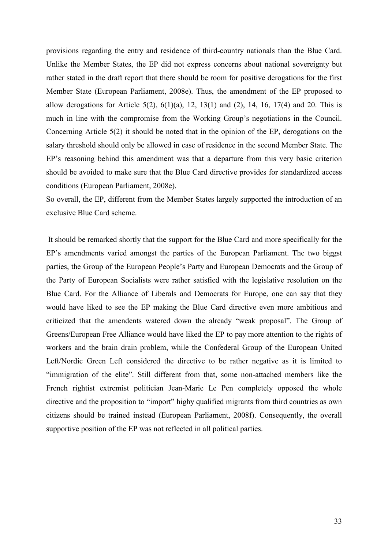provisions regarding the entry and residence of third-country nationals than the Blue Card. Unlike the Member States, the EP did not express concerns about national sovereignty but rather stated in the draft report that there should be room for positive derogations for the first Member State (European Parliament, 2008e). Thus, the amendment of the EP proposed to allow derogations for Article 5(2),  $6(1)(a)$ , 12, 13(1) and (2), 14, 16, 17(4) and 20. This is much in line with the compromise from the Working Group's negotiations in the Council. Concerning Article 5(2) it should be noted that in the opinion of the EP, derogations on the salary threshold should only be allowed in case of residence in the second Member State. The EP's reasoning behind this amendment was that a departure from this very basic criterion should be avoided to make sure that the Blue Card directive provides for standardized access conditions (European Parliament, 2008e).

So overall, the EP, different from the Member States largely supported the introduction of an exclusive Blue Card scheme.

 It should be remarked shortly that the support for the Blue Card and more specifically for the EP's amendments varied amongst the parties of the European Parliament. The two biggst parties, the Group of the European People's Party and European Democrats and the Group of the Party of European Socialists were rather satisfied with the legislative resolution on the Blue Card. For the Alliance of Liberals and Democrats for Europe, one can say that they would have liked to see the EP making the Blue Card directive even more ambitious and criticized that the amendents watered down the already "weak proposal". The Group of Greens/European Free Alliance would have liked the EP to pay more attention to the rights of workers and the brain drain problem, while the Confederal Group of the European United Left/Nordic Green Left considered the directive to be rather negative as it is limited to "immigration of the elite". Still different from that, some non-attached members like the French rightist extremist politician Jean-Marie Le Pen completely opposed the whole directive and the proposition to "import" highy qualified migrants from third countries as own citizens should be trained instead (European Parliament, 2008f). Consequently, the overall supportive position of the EP was not reflected in all political parties.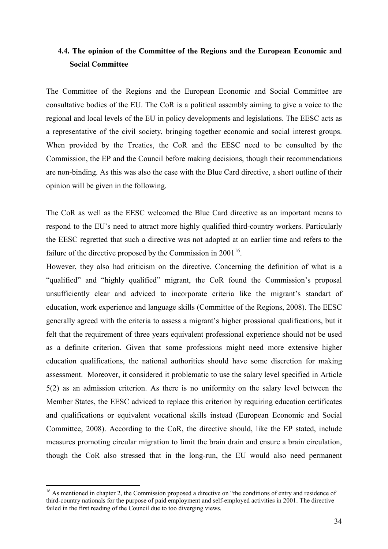# **4.4. The opinion of the Committee of the Regions and the European Economic and Social Committee**

The Committee of the Regions and the European Economic and Social Committee are consultative bodies of the EU. The CoR is a political assembly aiming to give a voice to the regional and local levels of the EU in policy developments and legislations. The EESC acts as a representative of the civil society, bringing together economic and social interest groups. When provided by the Treaties, the CoR and the EESC need to be consulted by the Commission, the EP and the Council before making decisions, though their recommendations are non-binding. As this was also the case with the Blue Card directive, a short outline of their opinion will be given in the following.

The CoR as well as the EESC welcomed the Blue Card directive as an important means to respond to the EU's need to attract more highly qualified third-country workers. Particularly the EESC regretted that such a directive was not adopted at an earlier time and refers to the failure of the directive proposed by the Commission in  $2001^{16}$ .

However, they also had criticism on the directive. Concerning the definition of what is a "qualified" and "highly qualified" migrant, the CoR found the Commission's proposal unsufficiently clear and adviced to incorporate criteria like the migrant's standart of education, work experience and language skills (Committee of the Regions, 2008). The EESC generally agreed with the criteria to assess a migrant's higher prossional qualifications, but it felt that the requirement of three years equivalent professional experience should not be used as a definite criterion. Given that some professions might need more extensive higher education qualifications, the national authorities should have some discretion for making assessment. Moreover, it considered it problematic to use the salary level specified in Article 5(2) as an admission criterion. As there is no uniformity on the salary level between the Member States, the EESC adviced to replace this criterion by requiring education certificates and qualifications or equivalent vocational skills instead (European Economic and Social Committee, 2008). According to the CoR, the directive should, like the EP stated, include measures promoting circular migration to limit the brain drain and ensure a brain circulation, though the CoR also stressed that in the long-run, the EU would also need permanent

<sup>&</sup>lt;sup>16</sup> As mentioned in chapter 2, the Commission proposed a directive on "the conditions of entry and residence of third-country nationals for the purpose of paid employment and self-employed activities in 2001. The directive failed in the first reading of the Council due to too diverging views.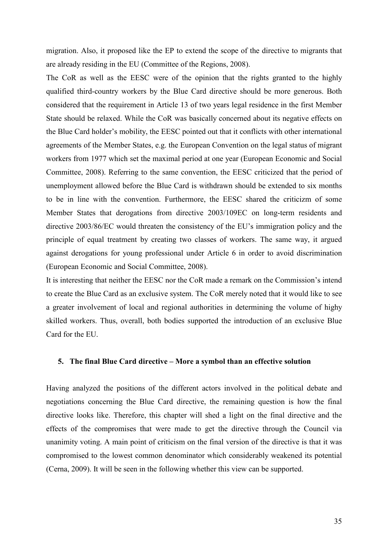migration. Also, it proposed like the EP to extend the scope of the directive to migrants that are already residing in the EU (Committee of the Regions, 2008).

The CoR as well as the EESC were of the opinion that the rights granted to the highly qualified third-country workers by the Blue Card directive should be more generous. Both considered that the requirement in Article 13 of two years legal residence in the first Member State should be relaxed. While the CoR was basically concerned about its negative effects on the Blue Card holder's mobility, the EESC pointed out that it conflicts with other international agreements of the Member States, e.g. the European Convention on the legal status of migrant workers from 1977 which set the maximal period at one year (European Economic and Social Committee, 2008). Referring to the same convention, the EESC criticized that the period of unemployment allowed before the Blue Card is withdrawn should be extended to six months to be in line with the convention. Furthermore, the EESC shared the criticizm of some Member States that derogations from directive 2003/109EC on long-term residents and directive 2003/86/EC would threaten the consistency of the EU's immigration policy and the principle of equal treatment by creating two classes of workers. The same way, it argued against derogations for young professional under Article 6 in order to avoid discrimination (European Economic and Social Committee, 2008).

It is interesting that neither the EESC nor the CoR made a remark on the Commission's intend to create the Blue Card as an exclusive system. The CoR merely noted that it would like to see a greater involvement of local and regional authorities in determining the volume of highy skilled workers. Thus, overall, both bodies supported the introduction of an exclusive Blue Card for the EU.

# **5. The final Blue Card directive – More a symbol than an effective solution**

Having analyzed the positions of the different actors involved in the political debate and negotiations concerning the Blue Card directive, the remaining question is how the final directive looks like. Therefore, this chapter will shed a light on the final directive and the effects of the compromises that were made to get the directive through the Council via unanimity voting. A main point of criticism on the final version of the directive is that it was compromised to the lowest common denominator which considerably weakened its potential (Cerna, 2009). It will be seen in the following whether this view can be supported.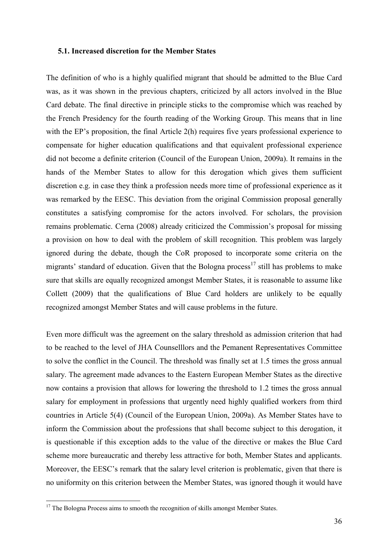# **5.1. Increased discretion for the Member States**

The definition of who is a highly qualified migrant that should be admitted to the Blue Card was, as it was shown in the previous chapters, criticized by all actors involved in the Blue Card debate. The final directive in principle sticks to the compromise which was reached by the French Presidency for the fourth reading of the Working Group. This means that in line with the EP's proposition, the final Article 2(h) requires five years professional experience to compensate for higher education qualifications and that equivalent professional experience did not become a definite criterion (Council of the European Union, 2009a). It remains in the hands of the Member States to allow for this derogation which gives them sufficient discretion e.g. in case they think a profession needs more time of professional experience as it was remarked by the EESC. This deviation from the original Commission proposal generally constitutes a satisfying compromise for the actors involved. For scholars, the provision remains problematic. Cerna (2008) already criticized the Commission's proposal for missing a provision on how to deal with the problem of skill recognition. This problem was largely ignored during the debate, though the CoR proposed to incorporate some criteria on the migrants' standard of education. Given that the Bologna process<sup>17</sup> still has problems to make sure that skills are equally recognized amongst Member States, it is reasonable to assume like Collett (2009) that the qualifications of Blue Card holders are unlikely to be equally recognized amongst Member States and will cause problems in the future.

Even more difficult was the agreement on the salary threshold as admission criterion that had to be reached to the level of JHA Counselllors and the Pemanent Representatives Committee to solve the conflict in the Council. The threshold was finally set at 1.5 times the gross annual salary. The agreement made advances to the Eastern European Member States as the directive now contains a provision that allows for lowering the threshold to 1.2 times the gross annual salary for employment in professions that urgently need highly qualified workers from third countries in Article 5(4) (Council of the European Union, 2009a). As Member States have to inform the Commission about the professions that shall become subject to this derogation, it is questionable if this exception adds to the value of the directive or makes the Blue Card scheme more bureaucratic and thereby less attractive for both, Member States and applicants. Moreover, the EESC's remark that the salary level criterion is problematic, given that there is no uniformity on this criterion between the Member States, was ignored though it would have

<sup>&</sup>lt;sup>17</sup> The Bologna Process aims to smooth the recognition of skills amongst Member States.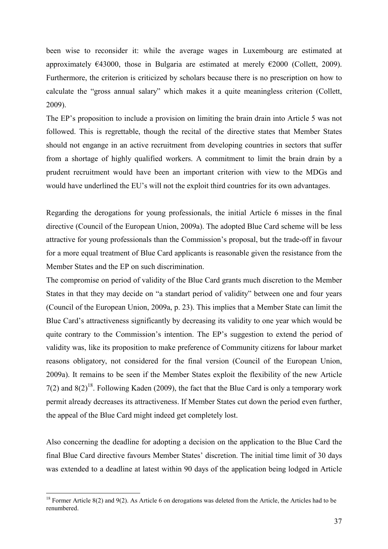been wise to reconsider it: while the average wages in Luxembourg are estimated at approximately  $\epsilon$ 43000, those in Bulgaria are estimated at merely  $\epsilon$ 2000 (Collett, 2009). Furthermore, the criterion is criticized by scholars because there is no prescription on how to calculate the "gross annual salary" which makes it a quite meaningless criterion (Collett, 2009).

The EP's proposition to include a provision on limiting the brain drain into Article 5 was not followed. This is regrettable, though the recital of the directive states that Member States should not engange in an active recruitment from developing countries in sectors that suffer from a shortage of highly qualified workers. A commitment to limit the brain drain by a prudent recruitment would have been an important criterion with view to the MDGs and would have underlined the EU's will not the exploit third countries for its own advantages.

Regarding the derogations for young professionals, the initial Article 6 misses in the final directive (Council of the European Union, 2009a). The adopted Blue Card scheme will be less attractive for young professionals than the Commission's proposal, but the trade-off in favour for a more equal treatment of Blue Card applicants is reasonable given the resistance from the Member States and the EP on such discrimination.

The compromise on period of validity of the Blue Card grants much discretion to the Member States in that they may decide on "a standart period of validity" between one and four years (Council of the European Union, 2009a, p. 23). This implies that a Member State can limit the Blue Card's attractiveness significantly by decreasing its validity to one year which would be quite contrary to the Commission's intention. The EP's suggestion to extend the period of validity was, like its proposition to make preference of Community citizens for labour market reasons obligatory, not considered for the final version (Council of the European Union, 2009a). It remains to be seen if the Member States exploit the flexibility of the new Article 7(2) and  $8(2)^{18}$ . Following Kaden (2009), the fact that the Blue Card is only a temporary work permit already decreases its attractiveness. If Member States cut down the period even further, the appeal of the Blue Card might indeed get completely lost.

Also concerning the deadline for adopting a decision on the application to the Blue Card the final Blue Card directive favours Member States' discretion. The initial time limit of 30 days was extended to a deadline at latest within 90 days of the application being lodged in Article

 $18$  Former Article 8(2) and 9(2). As Article 6 on derogations was deleted from the Article, the Articles had to be renumbered.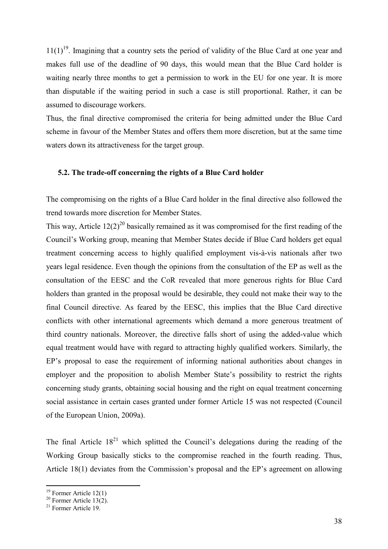$11(1)^{19}$ . Imagining that a country sets the period of validity of the Blue Card at one year and makes full use of the deadline of 90 days, this would mean that the Blue Card holder is waiting nearly three months to get a permission to work in the EU for one year. It is more than disputable if the waiting period in such a case is still proportional. Rather, it can be assumed to discourage workers.

Thus, the final directive compromised the criteria for being admitted under the Blue Card scheme in favour of the Member States and offers them more discretion, but at the same time waters down its attractiveness for the target group.

#### **5.2. The trade-off concerning the rights of a Blue Card holder**

The compromising on the rights of a Blue Card holder in the final directive also followed the trend towards more discretion for Member States.

This way, Article  $12(2)^{20}$  basically remained as it was compromised for the first reading of the Council's Working group, meaning that Member States decide if Blue Card holders get equal treatment concerning access to highly qualified employment vis-à-vis nationals after two years legal residence. Even though the opinions from the consultation of the EP as well as the consultation of the EESC and the CoR revealed that more generous rights for Blue Card holders than granted in the proposal would be desirable, they could not make their way to the final Council directive. As feared by the EESC, this implies that the Blue Card directive conflicts with other international agreements which demand a more generous treatment of third country nationals. Moreover, the directive falls short of using the added-value which equal treatment would have with regard to attracting highly qualified workers. Similarly, the EP's proposal to ease the requirement of informing national authorities about changes in employer and the proposition to abolish Member State's possibility to restrict the rights concerning study grants, obtaining social housing and the right on equal treatment concerning social assistance in certain cases granted under former Article 15 was not respected (Council of the European Union, 2009a).

The final Article  $18<sup>21</sup>$  which splitted the Council's delegations during the reading of the Working Group basically sticks to the compromise reached in the fourth reading. Thus, Article 18(1) deviates from the Commission's proposal and the EP's agreement on allowing

 $19$  Former Article 12(1)

 $20$  Former Article 13(2).

<sup>21</sup> Former Article 19.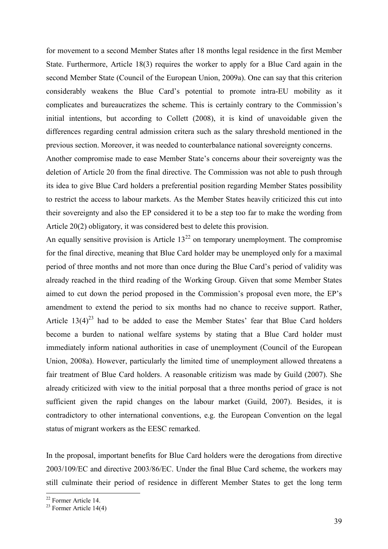for movement to a second Member States after 18 months legal residence in the first Member State. Furthermore, Article 18(3) requires the worker to apply for a Blue Card again in the second Member State (Council of the European Union, 2009a). One can say that this criterion considerably weakens the Blue Card's potential to promote intra-EU mobility as it complicates and bureaucratizes the scheme. This is certainly contrary to the Commission's initial intentions, but according to Collett (2008), it is kind of unavoidable given the differences regarding central admission critera such as the salary threshold mentioned in the previous section. Moreover, it was needed to counterbalance national sovereignty concerns.

Another compromise made to ease Member State's concerns abour their sovereignty was the deletion of Article 20 from the final directive. The Commission was not able to push through its idea to give Blue Card holders a preferential position regarding Member States possibility to restrict the access to labour markets. As the Member States heavily criticized this cut into their sovereignty and also the EP considered it to be a step too far to make the wording from Article 20(2) obligatory, it was considered best to delete this provision.

An equally sensitive provision is Article  $13^{22}$  on temporary unemployment. The compromise for the final directive, meaning that Blue Card holder may be unemployed only for a maximal period of three months and not more than once during the Blue Card's period of validity was already reached in the third reading of the Working Group. Given that some Member States aimed to cut down the period proposed in the Commission's proposal even more, the EP's amendment to extend the period to six months had no chance to receive support. Rather, Article  $13(4)^{23}$  had to be added to ease the Member States' fear that Blue Card holders become a burden to national welfare systems by stating that a Blue Card holder must immediately inform national authorities in case of unemployment (Council of the European Union, 2008a). However, particularly the limited time of unemployment allowed threatens a fair treatment of Blue Card holders. A reasonable critizism was made by Guild (2007). She already criticized with view to the initial porposal that a three months period of grace is not sufficient given the rapid changes on the labour market (Guild, 2007). Besides, it is contradictory to other international conventions, e.g. the European Convention on the legal status of migrant workers as the EESC remarked.

In the proposal, important benefits for Blue Card holders were the derogations from directive 2003/109/EC and directive 2003/86/EC. Under the final Blue Card scheme, the workers may still culminate their period of residence in different Member States to get the long term

<sup>22</sup> Former Article 14.

 $23$  Former Article 14(4)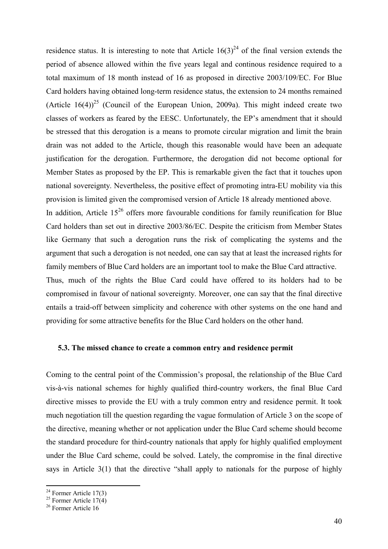residence status. It is interesting to note that Article  $16(3)^{24}$  of the final version extends the period of absence allowed within the five years legal and continous residence required to a total maximum of 18 month instead of 16 as proposed in directive 2003/109/EC. For Blue Card holders having obtained long-term residence status, the extension to 24 months remained (Article  $16(4)$ )<sup>25</sup> (Council of the European Union, 2009a). This might indeed create two classes of workers as feared by the EESC. Unfortunately, the EP's amendment that it should be stressed that this derogation is a means to promote circular migration and limit the brain drain was not added to the Article, though this reasonable would have been an adequate justification for the derogation. Furthermore, the derogation did not become optional for Member States as proposed by the EP. This is remarkable given the fact that it touches upon national sovereignty. Nevertheless, the positive effect of promoting intra-EU mobility via this provision is limited given the compromised version of Article 18 already mentioned above. In addition, Article  $15^{26}$  offers more favourable conditions for family reunification for Blue Card holders than set out in directive 2003/86/EC. Despite the criticism from Member States like Germany that such a derogation runs the risk of complicating the systems and the argument that such a derogation is not needed, one can say that at least the increased rights for family members of Blue Card holders are an important tool to make the Blue Card attractive. Thus, much of the rights the Blue Card could have offered to its holders had to be compromised in favour of national sovereignty. Moreover, one can say that the final directive entails a traid-off between simplicity and coherence with other systems on the one hand and providing for some attractive benefits for the Blue Card holders on the other hand.

# **5.3. The missed chance to create a common entry and residence permit**

Coming to the central point of the Commission's proposal, the relationship of the Blue Card vis-à-vis national schemes for highly qualified third-country workers, the final Blue Card directive misses to provide the EU with a truly common entry and residence permit. It took much negotiation till the question regarding the vague formulation of Article 3 on the scope of the directive, meaning whether or not application under the Blue Card scheme should become the standard procedure for third-country nationals that apply for highly qualified employment under the Blue Card scheme, could be solved. Lately, the compromise in the final directive says in Article 3(1) that the directive "shall apply to nationals for the purpose of highly

 $24$  Former Article 17(3)

<sup>&</sup>lt;sup>25</sup> Former Article  $17(4)$ 

<sup>&</sup>lt;sup>26</sup> Former Article 16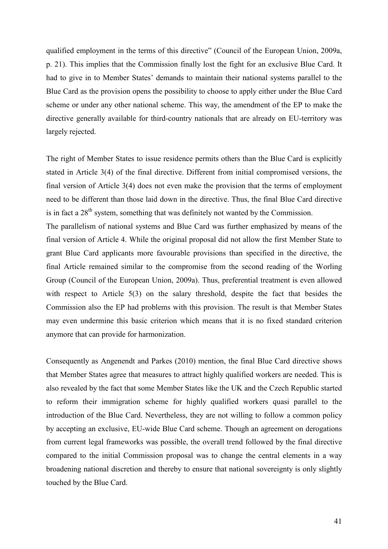qualified employment in the terms of this directive" (Council of the European Union, 2009a, p. 21). This implies that the Commission finally lost the fight for an exclusive Blue Card. It had to give in to Member States' demands to maintain their national systems parallel to the Blue Card as the provision opens the possibility to choose to apply either under the Blue Card scheme or under any other national scheme. This way, the amendment of the EP to make the directive generally available for third-country nationals that are already on EU-territory was largely rejected.

The right of Member States to issue residence permits others than the Blue Card is explicitly stated in Article 3(4) of the final directive. Different from initial compromised versions, the final version of Article 3(4) does not even make the provision that the terms of employment need to be different than those laid down in the directive. Thus, the final Blue Card directive is in fact a  $28<sup>th</sup>$  system, something that was definitely not wanted by the Commission.

The parallelism of national systems and Blue Card was further emphasized by means of the final version of Article 4. While the original proposal did not allow the first Member State to grant Blue Card applicants more favourable provisions than specified in the directive, the final Article remained similar to the compromise from the second reading of the Worling Group (Council of the European Union, 2009a). Thus, preferential treatment is even allowed with respect to Article 5(3) on the salary threshold, despite the fact that besides the Commission also the EP had problems with this provision. The result is that Member States may even undermine this basic criterion which means that it is no fixed standard criterion anymore that can provide for harmonization.

Consequently as Angenendt and Parkes (2010) mention, the final Blue Card directive shows that Member States agree that measures to attract highly qualified workers are needed. This is also revealed by the fact that some Member States like the UK and the Czech Republic started to reform their immigration scheme for highly qualified workers quasi parallel to the introduction of the Blue Card. Nevertheless, they are not willing to follow a common policy by accepting an exclusive, EU-wide Blue Card scheme. Though an agreement on derogations from current legal frameworks was possible, the overall trend followed by the final directive compared to the initial Commission proposal was to change the central elements in a way broadening national discretion and thereby to ensure that national sovereignty is only slightly touched by the Blue Card.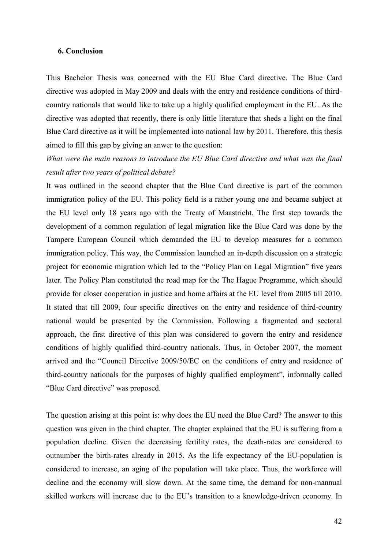#### **6. Conclusion**

This Bachelor Thesis was concerned with the EU Blue Card directive. The Blue Card directive was adopted in May 2009 and deals with the entry and residence conditions of thirdcountry nationals that would like to take up a highly qualified employment in the EU. As the directive was adopted that recently, there is only little literature that sheds a light on the final Blue Card directive as it will be implemented into national law by 2011. Therefore, this thesis aimed to fill this gap by giving an anwer to the question:

# *What were the main reasons to introduce the EU Blue Card directive and what was the final result after two years of political debate?*

It was outlined in the second chapter that the Blue Card directive is part of the common immigration policy of the EU. This policy field is a rather young one and became subject at the EU level only 18 years ago with the Treaty of Maastricht. The first step towards the development of a common regulation of legal migration like the Blue Card was done by the Tampere European Council which demanded the EU to develop measures for a common immigration policy. This way, the Commission launched an in-depth discussion on a strategic project for economic migration which led to the "Policy Plan on Legal Migration" five years later. The Policy Plan constituted the road map for the The Hague Programme, which should provide for closer cooperation in justice and home affairs at the EU level from 2005 till 2010. It stated that till 2009, four specific directives on the entry and residence of third-country national would be presented by the Commission. Following a fragmented and sectoral approach, the first directive of this plan was considered to govern the entry and residence conditions of highly qualified third-country nationals. Thus, in October 2007, the moment arrived and the "Council Directive 2009/50/EC on the conditions of entry and residence of third-country nationals for the purposes of highly qualified employment", informally called "Blue Card directive" was proposed.

The question arising at this point is: why does the EU need the Blue Card? The answer to this question was given in the third chapter. The chapter explained that the EU is suffering from a population decline. Given the decreasing fertility rates, the death-rates are considered to outnumber the birth-rates already in 2015. As the life expectancy of the EU-population is considered to increase, an aging of the population will take place. Thus, the workforce will decline and the economy will slow down. At the same time, the demand for non-mannual skilled workers will increase due to the EU's transition to a knowledge-driven economy. In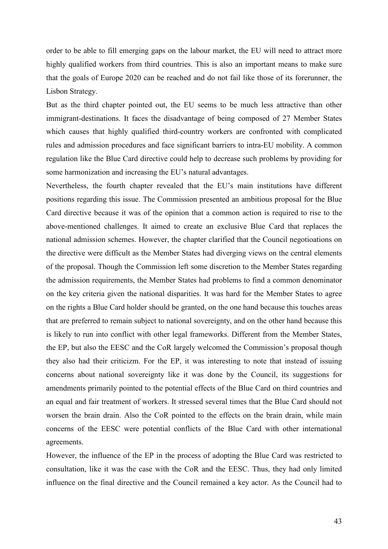order to be able to fill emerging gaps on the labour market, the EU will need to attract more highly qualified workers from third countries. This is also an important means to make sure that the goals of Europe 2020 can be reached and do not fail like those of its forerunner, the Lisbon Strategy.

But as the third chapter pointed out, the EU seems to be much less attractive than other immigrant-destinations. It faces the disadvantage of being composed of 27 Member States which causes that highly qualified third-country workers are confronted with complicated rules and admission procedures and face significant barriers to intra-EU mobility. A common regulation like the Blue Card directive could help to decrease such problems by providing for some harmonization and increasing the EU's natural advantages.

Nevertheless, the fourth chapter revealed that the EU's main institutions have different positions regarding this issue. The Commission presented an ambitious proposal for the Blue Card directive because it was of the opinion that a common action is required to rise to the above-mentioned challenges. It aimed to create an exclusive Blue Card that replaces the national admission schemes. However, the chapter clarified that the Council negotioations on the directive were difficult as the Member States had diverging views on the central elements of the proposal. Though the Commission left some discretion to the Member States regarding the admission requirements, the Member States had problems to find a common denominator on the key criteria given the national disparities. It was hard for the Member States to agree on the rights a Blue Card holder should be granted, on the one hand because this touches areas that are preferred to remain subject to national sovereignty, and on the other hand because this is likely to run into conflict with other legal frameworks. Different from the Member States, the EP, but also the EESC and the CoR largely welcomed the Commission's proposal though they also had their criticizm. For the EP, it was interesting to note that instead of issuing concerns about national sovereignty like it was done by the Council, its suggestions for amendments primarily pointed to the potential effects of the Blue Card on third countries and an equal and fair treatment of workers. It stressed several times that the Blue Card should not worsen the brain drain. Also the CoR pointed to the effects on the brain drain, while main concerns of the EESC were potential conflicts of the Blue Card with other international agreements.

However, the influence of the EP in the process of adopting the Blue Card was restricted to consultation, like it was the case with the CoR and the EESC. Thus, they had only limited influence on the final directive and the Council remained a key actor. As the Council had to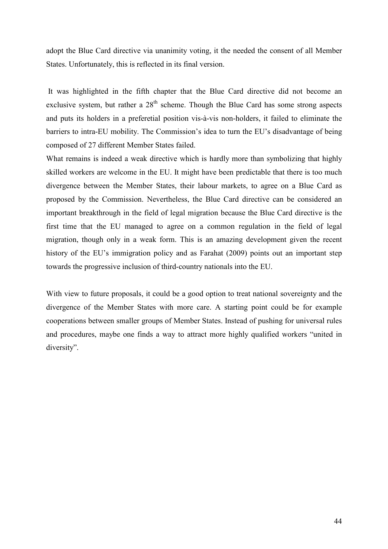adopt the Blue Card directive via unanimity voting, it the needed the consent of all Member States. Unfortunately, this is reflected in its final version.

 It was highlighted in the fifth chapter that the Blue Card directive did not become an exclusive system, but rather a  $28<sup>th</sup>$  scheme. Though the Blue Card has some strong aspects and puts its holders in a preferetial position vis-à-vis non-holders, it failed to eliminate the barriers to intra-EU mobility. The Commission's idea to turn the EU's disadvantage of being composed of 27 different Member States failed.

What remains is indeed a weak directive which is hardly more than symbolizing that highly skilled workers are welcome in the EU. It might have been predictable that there is too much divergence between the Member States, their labour markets, to agree on a Blue Card as proposed by the Commission. Nevertheless, the Blue Card directive can be considered an important breakthrough in the field of legal migration because the Blue Card directive is the first time that the EU managed to agree on a common regulation in the field of legal migration, though only in a weak form. This is an amazing development given the recent history of the EU's immigration policy and as Farahat (2009) points out an important step towards the progressive inclusion of third-country nationals into the EU.

With view to future proposals, it could be a good option to treat national sovereignty and the divergence of the Member States with more care. A starting point could be for example cooperations between smaller groups of Member States. Instead of pushing for universal rules and procedures, maybe one finds a way to attract more highly qualified workers "united in diversity".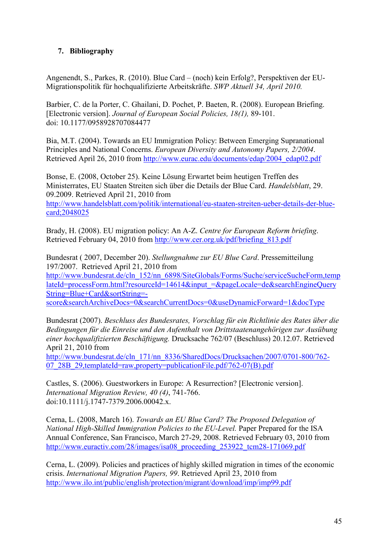# **7. Bibliography**

Angenendt, S., Parkes, R. (2010). Blue Card – (noch) kein Erfolg?, Perspektiven der EU-Migrationspolitik für hochqualifizierte Arbeitskräfte. *SWP Aktuell 34, April 2010.* 

Barbier, C. de la Porter, C. Ghailani, D. Pochet, P. Baeten, R. (2008). European Briefing. [Electronic version]. *Journal of European Social Policies, 18(1),* 89-101. doi: 10.1177/0958928707084477

Bia, M.T. (2004). Towards an EU Immigration Policy: Between Emerging Supranational Principles and National Concerns. *European Diversity and Autonomy Papers, 2/2004*. Retrieved April 26, 2010 from http://www.eurac.edu/documents/edap/2004\_edap02.pdf

Bonse, E. (2008, October 25). Keine Lösung Erwartet beim heutigen Treffen des Ministerrates, EU Staaten Streiten sich über die Details der Blue Card. *Handelsblatt*, 29. 09.2009. Retrieved April 21, 2010 from http://www.handelsblatt.com/politik/international/eu-staaten-streiten-ueber-details-der-bluecard;2048025

Brady, H. (2008). EU migration policy: An A-Z. *Centre for European Reform briefing*. Retrieved February 04, 2010 from http://www.cer.org.uk/pdf/briefing\_813.pdf

Bundesrat ( 2007, December 20). *Stellungnahme zur EU Blue Card*. Pressemitteilung 197/2007. Retrieved April 21, 2010 from http://www.bundesrat.de/cln\_152/nn\_6898/SiteGlobals/Forms/Suche/serviceSucheForm,temp lateId=processForm.html?resourceId=14614&input\_=&pageLocale=de&searchEngineQuery String=Blue+Card&sortString= score&searchArchiveDocs=0&searchCurrentDocs=0&useDynamicForward=1&docType

Bundesrat (2007). *Beschluss des Bundesrates, Vorschlag für ein Richtlinie des Rates über die Bedingungen für die Einreise und den Aufenthalt von Drittstaatenangehörigen zur Ausübung einer hochqualifizierten Beschäftigung.* Drucksache 762/07 (Beschluss) 20.12.07. Retrieved April 21, 2010 from

http://www.bundesrat.de/cln\_171/nn\_8336/SharedDocs/Drucksachen/2007/0701-800/762- 07\_28B\_29,templateId=raw,property=publicationFile.pdf/762-07(B).pdf

Castles, S. (2006). Guestworkers in Europe: A Resurrection? [Electronic version]. *International Migration Review, 40 (4)*, 741-766. doi:10.1111/j.1747-7379.2006.00042.x.

Cerna, L. (2008, March 16). *Towards an EU Blue Card? The Proposed Delegation of Bational High-Skilled Immigration Policies to the EU-Level.* Paper Prepared for the ISA Annual Conference, San Francisco, March 27-29, 2008. Retrieved February 03, 2010 from http://www.euractiv.com/28/images/isa08\_proceeding\_253922\_tcm28-171069.pdf

Cerna, L. (2009). Policies and practices of highly skilled migration in times of the economic crisis. *International Migration Papers, 99*. Retrieved April 23, 2010 from http://www.ilo.int/public/english/protection/migrant/download/imp/imp99.pdf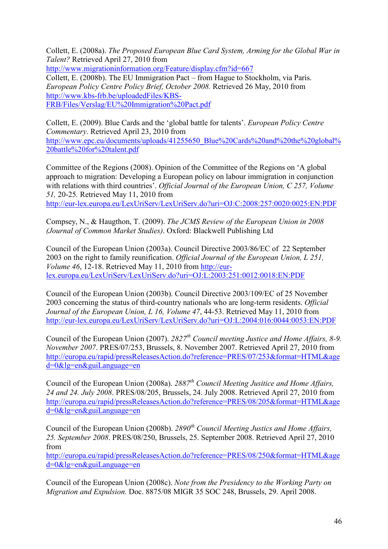Collett, E. (2008a). *The Proposed European Blue Card System, Arming for the Global War in Talent?* Retrieved April 27, 2010 from http://www.migrationinformation.org/Feature/display.cfm?id=667 Collett, E. (2008b). The EU Immigration Pact – from Hague to Stockholm, via Paris. *European Policy Centre Policy Brief, October 2008.* Retrieved 26 May, 2010 from http://www.kbs-frb.be/uploadedFiles/KBS-FRB/Files/Verslag/EU%20Immigration%20Pact.pdf

Collett, E. (2009). Blue Cards and the 'global battle for talents'. *European Policy Centre Commentary*. Retrieved April 23, 2010 from http://www.epc.eu/documents/uploads/41255650\_Blue%20Cards%20and%20the%20global% 20battle%20for%20talent.pdf

Committee of the Regions (2008). Opinion of the Committee of the Regions on 'A global approach to migration: Developing a European policy on labour immigration in conjunction with relations with third countries'. *Official Journal of the European Union, C 257, Volume 51,* 20-25*.* Retrieved May 11, 2010 from

http://eur-lex.europa.eu/LexUriServ/LexUriServ.do?uri=OJ:C:2008:257:0020:0025:EN:PDF

Compsey, N., & Haugthon, T. (2009). *The JCMS Review of the European Union in 2008 (Journal of Common Market Studies)*. Oxford: Blackwell Publishing Ltd

Council of the European Union (2003a). Council Directive 2003/86/EC of 22 September 2003 on the right to family reunification. *Official Journal of the European Union, L 251, Volume 46*, 12-18. Retrieved May 11, 2010 from http://eurlex.europa.eu/LexUriServ/LexUriServ.do?uri=OJ:L:2003:251:0012:0018:EN:PDF

Council of the European Union (2003b). Council Directive 2003/109/EC of 25 November 2003 concerning the status of third-country nationals who are long-term residents. *Official Journal of the European Union, L 16, Volume 47*, 44-53. Retrieved May 11, 2010 from http://eur-lex.europa.eu/LexUriServ/LexUriServ.do?uri=OJ:L:2004:016:0044:0053:EN:PDF

Council of the European Union (2007). *2827th Council meeting Justice and Home Affairs, 8-9. Bovember 2007*. PRES/07/253, Brussels, 8. November 2007. Retrieved April 27, 2010 from http://europa.eu/rapid/pressReleasesAction.do?reference=PRES/07/253&format=HTML&age d=0&lg=en&guiLanguage=en

Council of the European Union (2008a). *2887th Council Meeting Jusitice and Home Affairs, 24 and 24. July 2008*. PRES/08/205, Brussels, 24. July 2008. Retrieved April 27, 2010 from http://europa.eu/rapid/pressReleasesAction.do?reference=PRES/08/205&format=HTML&age d=0&lg=en&guiLanguage=en

Council of the European Union (2008b). *2890th Council Meeting Justics and Home Affairs, 25. September 2008*. PRES/08/250, Brussels, 25. September 2008. Retrieved April 27, 2010 from

http://europa.eu/rapid/pressReleasesAction.do?reference=PRES/08/250&format=HTML&age d=0&lg=en&guiLanguage=en

Council of the European Union (2008c). *Bote from the Presidency to the Working Party on Migration and Expulsion.* Doc. 8875/08 MIGR 35 SOC 248, Brussels, 29. April 2008.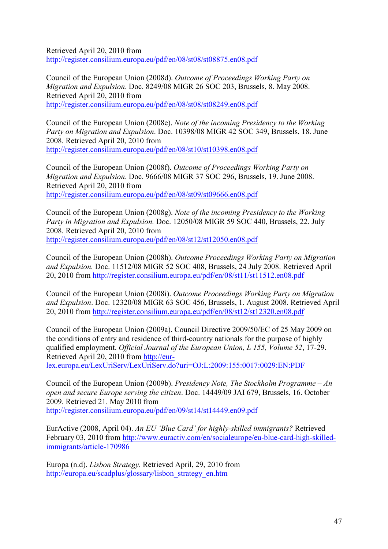Retrieved April 20, 2010 from http://register.consilium.europa.eu/pdf/en/08/st08/st08875.en08.pdf

Council of the European Union (2008d). *Outcome of Proceedings Working Party on Migration and Expulsion*. Doc. 8249/08 MIGR 26 SOC 203, Brussels, 8. May 2008. Retrieved April 20, 2010 from http://register.consilium.europa.eu/pdf/en/08/st08/st08249.en08.pdf

Council of the European Union (2008e). *Bote of the incoming Presidency to the Working Party on Migration and Expulsion*. Doc. 10398/08 MIGR 42 SOC 349, Brussels, 18. June 2008. Retrieved April 20, 2010 from http://register.consilium.europa.eu/pdf/en/08/st10/st10398.en08.pdf

Council of the European Union (2008f). *Outcome of Proceedings Working Party on Migration and Expulsion*. Doc. 9666/08 MIGR 37 SOC 296, Brussels, 19. June 2008. Retrieved April 20, 2010 from http://register.consilium.europa.eu/pdf/en/08/st09/st09666.en08.pdf

Council of the European Union (2008g). *Bote of the incoming Presidency to the Working Party in Migration and Expulsion.* Doc. 12050/08 MIGR 59 SOC 440, Brussels, 22. July 2008. Retrieved April 20, 2010 from http://register.consilium.europa.eu/pdf/en/08/st12/st12050.en08.pdf

Council of the European Union (2008h). *Outcome Proceedings Working Party on Migration and Expulsion.* Doc. 11512/08 MIGR 52 SOC 408, Brussels, 24 July 2008. Retrieved April 20, 2010 from http://register.consilium.europa.eu/pdf/en/08/st11/st11512.en08.pdf

Council of the European Union (2008i). *Outcome Proceedings Working Party on Migration and Expulsion*. Doc. 12320/08 MIGR 63 SOC 456, Brussels, 1. August 2008. Retrieved April 20, 2010 from http://register.consilium.europa.eu/pdf/en/08/st12/st12320.en08.pdf

Council of the European Union (2009a). Council Directive 2009/50/EC of 25 May 2009 on the conditions of entry and residence of third-country nationals for the purpose of highly qualified employment. *Official Journal of the European Union, L 155, Volume 52*, 17-29. Retrieved April 20, 2010 from http://eur-

lex.europa.eu/LexUriServ/LexUriServ.do?uri=OJ:L:2009:155:0017:0029:EN:PDF

Council of the European Union (2009b). *Presidency Bote, The Stockholm Programme – An open and secure Europe serving the citizen*. Doc. 14449/09 JAI 679, Brussels, 16. October 2009. Retrieved 21. May 2010 from http://register.consilium.europa.eu/pdf/en/09/st14/st14449.en09.pdf

EurActive (2008, April 04). *An EU 'Blue Card' for highly-skilled immigrants?* Retrieved February 03, 2010 from http://www.euractiv.com/en/socialeurope/eu-blue-card-high-skilledimmigrants/article-170986

Europa (n.d). *Lisbon Strategy.* Retrieved April, 29, 2010 from http://europa.eu/scadplus/glossary/lisbon\_strategy\_en.htm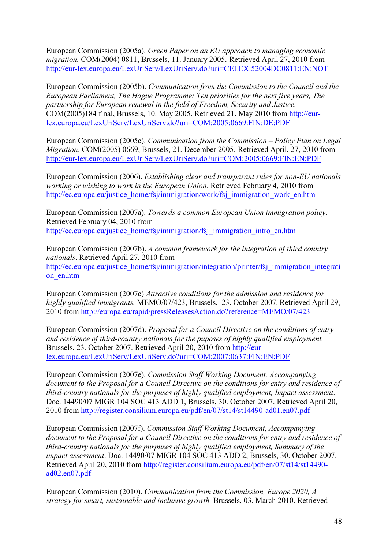European Commission (2005a). *Green Paper on an EU approach to managing economic migration.* COM(2004) 0811, Brussels, 11. January 2005. Retrieved April 27, 2010 from http://eur-lex.europa.eu/LexUriServ/LexUriServ.do?uri=CELEX:52004DC0811:EN:NOT

European Commission (2005b). *Communication from the Commission to the Council and the European Parliament, The Hague Programme: Ten priorities for the next five years, The partnership for European renewal in the field of Freedom, Security and Justice.*  COM(2005)184 final, Brussels, 10. May 2005. Retrieved 21. May 2010 from http://eurlex.europa.eu/LexUriServ/LexUriServ.do?uri=COM:2005:0669:FIN:DE:PDF

European Commission (2005c). *Communication from the Commission – Policy Plan on Legal Migration*. COM(2005) 0669, Brussels, 21. December 2005. Retrieved April, 27, 2010 from http://eur-lex.europa.eu/LexUriServ/LexUriServ.do?uri=COM:2005:0669:FIN:EN:PDF

European Commission (2006). *Establishing clear and transparant rules for non-EU nationals working or wishing to work in the European Union*. Retrieved February 4, 2010 from http://ec.europa.eu/justice\_home/fsj/immigration/work/fsj\_immigration\_work\_en.htm

European Commission (2007a). *Towards a common European Union immigration policy*. Retrieved February 04, 2010 from http://ec.europa.eu/justice\_home/fsj/immigration/fsj\_immigration\_intro\_en.htm

European Commission (2007b). *A common framework for the integration of third country nationals*. Retrieved April 27, 2010 from http://ec.europa.eu/justice\_home/fsj/immigration/integration/printer/fsj\_immigration\_integrati on\_en.htm

European Commission (2007c) *Attractive conditions for the admission and residence for highly qualified immigrants.* MEMO/07/423, Brussels, 23. October 2007. Retrieved April 29, 2010 from http://europa.eu/rapid/pressReleasesAction.do?reference=MEMO/07/423

European Commission (2007d). *Proposal for a Council Directive on the conditions of entry and residence of third-country nationals for the puposes of highly qualified employment.* Brussels, 23. October 2007. Retrieved April 20, 2010 from http://eurlex.europa.eu/LexUriServ/LexUriServ.do?uri=COM:2007:0637:FIN:EN:PDF

European Commission (2007e). *Commission Staff Working Document, Accompanying document to the Proposal for a Council Directive on the conditions for entry and residence of third-country nationals for the purpuses of highly qualified employment, Impact assessment*. Doc. 14490/07 MIGR 104 SOC 413 ADD 1, Brussels, 30. October 2007. Retrieved April 20, 2010 from http://register.consilium.europa.eu/pdf/en/07/st14/st14490-ad01.en07.pdf

European Commission (2007f). *Commission Staff Working Document, Accompanying document to the Proposal for a Council Directive on the conditions for entry and residence of third-country nationals for the purpuses of highly qualified employment, Summary of the impact assessment*. Doc. 14490/07 MIGR 104 SOC 413 ADD 2, Brussels, 30. October 2007. Retrieved April 20, 2010 from http://register.consilium.europa.eu/pdf/en/07/st14/st14490 ad02.en07.pdf

European Commission (2010). *Communication from the Commission, Europe 2020, A strategy for smart, sustainable and inclusive growth.* Brussels, 03. March 2010. Retrieved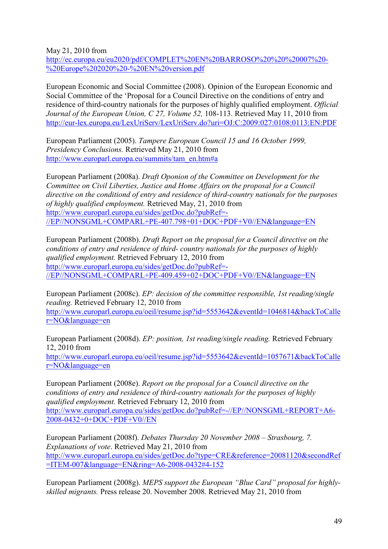May 21, 2010 from

http://ec.europa.eu/eu2020/pdf/COMPLET%20EN%20BARROSO%20%20%20007%20- %20Europe%202020%20-%20EN%20version.pdf

European Economic and Social Committee (2008). Opinion of the European Economic and Social Committee of the 'Proposal for a Council Directive on the conditions of entry and residence of third-country nationals for the purposes of highly qualified employment. *Official Journal of the European Union, C 27, Volume 52,* 108-113. Retrieved May 11, 2010 from http://eur-lex.europa.eu/LexUriServ/LexUriServ.do?uri=OJ:C:2009:027:0108:0113:EN:PDF

European Parliament (2005). *Tampere European Council 15 and 16 October 1999, Presidency Conclusions.* Retrieved May 21, 2010 from http://www.europarl.europa.eu/summits/tam\_en.htm#a

European Parliament (2008a). *Draft Oponion of the Committee on Development for the Committee on Civil Liberties, Justice and Home Affairs on the proposal for a Council directive on the conditiond of entry and residence of third-country nationals for the purposes of highly qualified employment.* Retrieved May, 21, 2010 from http://www.europarl.europa.eu/sides/getDoc.do?pubRef=- //EP//NONSGML+COMPARL+PE-407.798+01+DOC+PDF+V0//EN&language=EN

European Parliament (2008b). *Draft Report on the proposal for a Council directive on the conditions of entry and residence of third- country nationals for the purposes of highly qualified employment.* Retrieved February 12, 2010 from http://www.europarl.europa.eu/sides/getDoc.do?pubRef=- //EP//NONSGML+COMPARL+PE-409.459+02+DOC+PDF+V0//EN&language=EN

European Parliament (2008c). *EP: decision of the committee responsible, 1st reading/single reading.* Retrieved February 12, 2010 from

http://www.europarl.europa.eu/oeil/resume.jsp?id=5553642&eventId=1046814&backToCalle r=NO&language=en

European Parliament (2008d). *EP: position, 1st reading/single reading.* Retrieved February 12, 2010 from http://www.europarl.europa.eu/oeil/resume.jsp?id=5553642&eventId=1057671&backToCalle r=NO&language=en

European Parliament (2008e). *Report on the proposal for a Council directive on the conditions of entry and residence of third-country nationals for the purposes of highly qualified employment.* Retrieved February 12, 2010 from http://www.europarl.europa.eu/sides/getDoc.do?pubRef=-//EP//NONSGML+REPORT+A6- 2008-0432+0+DOC+PDF+V0//EN

European Parliament (2008f). *Debates Thursday 20 November 2008 – Strasbourg, 7. Explanations of vote*. Retrieved May 21, 2010 from http://www.europarl.europa.eu/sides/getDoc.do?type=CRE&reference=20081120&secondRef =ITEM-007&language=EN&ring=A6-2008-0432#4-152

European Parliament (2008g). *MEPS support the European "Blue Card" proposal for highlyskilled migrants.* Press release 20. November 2008. Retrieved May 21, 2010 from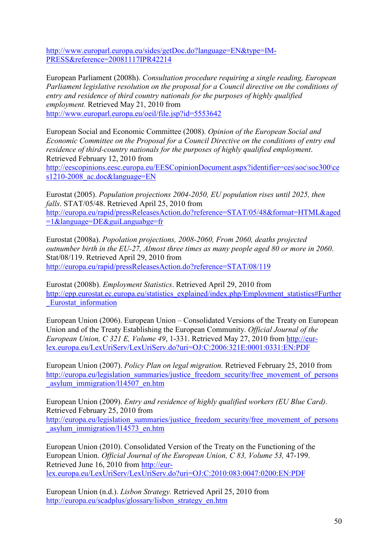http://www.europarl.europa.eu/sides/getDoc.do?language=EN&type=IM-PRESS&reference=20081117IPR42214

European Parliament (2008h). *Consultation procedure requiring a single reading, European Parliament legislative resolution on the proposal for a Council directive on the conditions of entry and residence of third country nationals for the purposes of highly qualified employment.* Retrieved May 21, 2010 from http://www.europarl.europa.eu/oeil/file.jsp?id=5553642

European Social and Economic Committee (2008). *Opinion of the European Social and Economic Committee on the Proposal for a Council Directive on the conditions of entry end residence of third-country nationals for the purposes of highly qualified employment*. Retrieved February 12, 2010 from

http://eescopinions.eesc.europa.eu/EESCopinionDocument.aspx?identifier=ces\soc\soc300\ce s1210-2008\_ac.doc&language=EN

Eurostat (2005). *Population projections 2004-2050, EU population rises until 2025, then falls*. STAT/05/48. Retrieved April 25, 2010 from http://europa.eu/rapid/pressReleasesAction.do?reference=STAT/05/48&format=HTML&aged =1&language=DE&guiLanguabge=fr

Eurostat (2008a). *Popolation projections, 2008-2060, From 2060, deaths projected outnumber birth in the EU-27, Almost three times as many people aged 80 or more in 2060*. Stat/08/119. Retrieved April 29, 2010 from http://europa.eu/rapid/pressReleasesAction.do?reference=STAT/08/119

Eurostat (2008b). *Employment Statistics*. Retrieved April 29, 2010 from http://epp.eurostat.ec.europa.eu/statistics\_explained/index.php/Employment\_statistics#Further \_Eurostat\_information

European Union (2006). European Union – Consolidated Versions of the Treaty on European Union and of the Treaty Establishing the European Community. *Official Journal of the European Union, C 321 E, Volume 49*, 1-331. Retrieved May 27, 2010 from http://eurlex.europa.eu/LexUriServ/LexUriServ.do?uri=OJ:C:2006:321E:0001:0331:EN:PDF

European Union (2007). *Policy Plan on legal migration.* Retrieved February 25, 2010 from http://europa.eu/legislation\_summaries/justice\_freedom\_security/free\_movement\_of\_persons asylum\_immigration/l14507\_en.htm

European Union (2009). *Entry and residence of highly qualified workers (EU Blue Card)*. Retrieved February 25, 2010 from http://europa.eu/legislation\_summaries/justice\_freedom\_security/free\_movement\_of\_persons \_asylum\_immigration/l14573\_en.htm

European Union (2010). Consolidated Version of the Treaty on the Functioning of the European Union. *Official Journal of the European Union, C 83, Volume 53,* 47-199. Retrieved June 16, 2010 from http://eurlex.europa.eu/LexUriServ/LexUriServ.do?uri=OJ:C:2010:083:0047:0200:EN:PDF

European Union (n.d.). *Lisbon Strategy.* Retrieved April 25, 2010 from http://europa.eu/scadplus/glossary/lisbon\_strategy\_en.htm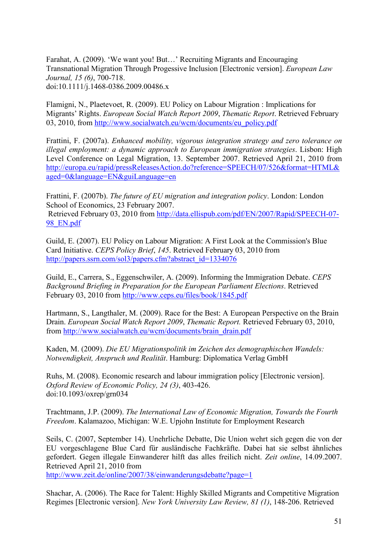Farahat, A. (2009). 'We want you! But…' Recruiting Migrants and Encouraging Transnational Migration Through Progessive Inclusion [Electronic version]. *European Law Journal, 15 (6)*, 700-718. doi:10.1111/j.1468-0386.2009.00486.x

Flamigni, N., Plaetevoet, R. (2009). EU Policy on Labour Migration : Implications for Migrants' Rights. *European Social Watch Report 2009*, *Thematic Report*. Retrieved February 03, 2010, from http://www.socialwatch.eu/wcm/documents/eu\_policy.pdf

Frattini, F. (2007a). *Enhanced mobility, vigorous integration strategy and zero tolerance on illegal employment: a dynamic approach to European immigration strategies*. Lisbon: High Level Conference on Legal Migration, 13. September 2007. Retrieved April 21, 2010 from http://europa.eu/rapid/pressReleasesAction.do?reference=SPEECH/07/526&format=HTML& aged=0&language=EN&guiLanguage=en

Frattini, F. (2007b). *The future of EU migration and integration policy*. London: London School of Economics, 23 February 2007.

 Retrieved February 03, 2010 from http://data.ellispub.com/pdf/EN/2007/Rapid/SPEECH-07- 98 EN.pdf

Guild, E. (2007). EU Policy on Labour Migration: A First Look at the Commission's Blue Card Initiative. *CEPS Policy Brief*, *145*. Retrieved February 03, 2010 from http://papers.ssrn.com/sol3/papers.cfm?abstract\_id=1334076

Guild, E., Carrera, S., Eggenschwiler, A. (2009). Informing the Immigration Debate. *CEPS Background Briefing in Preparation for the European Parliament Elections*. Retrieved February 03, 2010 from http://www.ceps.eu/files/book/1845.pdf

Hartmann, S., Langthaler, M. (2009). Race for the Best: A European Perspective on the Brain Drain. *European Social Watch Report 2009*, *Thematic Report.* Retrieved February 03, 2010, from http://www.socialwatch.eu/wcm/documents/brain\_drain.pdf

Kaden, M. (2009). *Die EU Migrationspolitik im Zeichen des demographischen Wandels: Botwendigkeit, Anspruch und Realität*. Hamburg: Diplomatica Verlag GmbH

Ruhs, M. (2008). Economic research and labour immigration policy [Electronic version]. *Oxford Review of Economic Policy, 24 (3)*, 403-426. doi:10.1093/oxrep/grn034

Trachtmann, J.P. (2009). *The International Law of Economic Migration, Towards the Fourth Freedom*. Kalamazoo, Michigan: W.E. Upjohn Institute for Employment Research

Seils, C. (2007, September 14). Unehrliche Debatte, Die Union wehrt sich gegen die von der EU vorgeschlagene Blue Card für ausländische Fachkräfte. Dabei hat sie selbst ähnliches gefordert. Gegen illegale Einwanderer hilft das alles freilich nicht. *Zeit online*, 14.09.2007. Retrieved April 21, 2010 from

http://www.zeit.de/online/2007/38/einwanderungsdebatte?page=1

Shachar, A. (2006). The Race for Talent: Highly Skilled Migrants and Competitive Migration Regimes [Electronic version]. *Bew York University Law Review, 81 (1)*, 148-206. Retrieved